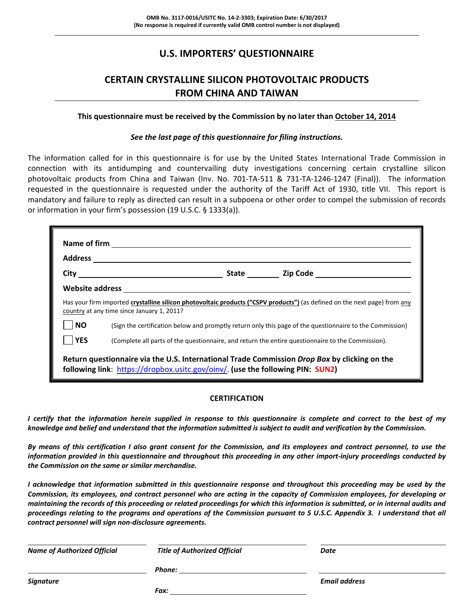### **U.S. IMPORTERS' QUESTIONNAIRE**

### **CERTAIN CRYSTALLINE SILICON PHOTOVOLTAIC PRODUCTS FROM CHINA AND TAIWAN**

#### **This questionnaire must be received by the Commission by no later than October 14, 2014**

#### *See the last page of this questionnaire for filing instructions.*

The information called for in this questionnaire is for use by the United States International Trade Commission in connection with its antidumping and countervailing duty investigations concerning certain crystalline silicon photovoltaic products from China and Taiwan (Inv. No. 701-TA-511 & 731-TA-1246-1247 (Final)). The information requested in the questionnaire is requested under the authority of the Tariff Act of 1930, title VII. This report is mandatory and failure to reply as directed can result in a subpoena or other order to compel the submission of records or information in your firm's possession (19 U.S.C. § 1333(a)).

|            | ${\small \textbf{ Website address} \textcolor{red}{}\underbrace{\hspace{1.5cm}}\hspace{1.5cm}\underbrace{\hspace{1.5cm}}\hspace{1.5cm}\hspace{1.5cm}\underbrace{\hspace{1.5cm}}\hspace{1.5cm}\hspace{1.5cm}\hspace{1.5cm}\hspace{1.5cm}\hspace{1.5cm}\hspace{1.5cm}\hspace{1.5cm}\hspace{1.5cm}\hspace{1.5cm}\hspace{1.5cm}\hspace{1.5cm}\hspace{1.5cm}\hspace{1.5cm}\hspace{1.5cm}\hspace{1.5cm}\hspace{1.5cm}\hspace{1.5cm}\hspace{1.5cm}\$ |  |
|------------|-----------------------------------------------------------------------------------------------------------------------------------------------------------------------------------------------------------------------------------------------------------------------------------------------------------------------------------------------------------------------------------------------------------------------------------------------|--|
|            | Has your firm imported crystalline silicon photovoltaic products ("CSPV products") (as defined on the next page) from any<br>country at any time since January 1, 2011?                                                                                                                                                                                                                                                                       |  |
| <b>NO</b>  | (Sign the certification below and promptly return only this page of the questionnaire to the Commission)                                                                                                                                                                                                                                                                                                                                      |  |
| <b>YES</b> | (Complete all parts of the questionnaire, and return the entire questionnaire to the Commission).                                                                                                                                                                                                                                                                                                                                             |  |
|            | Return questionnaire via the U.S. International Trade Commission Drop Box by clicking on the<br>following link: https://dropbox.usitc.gov/oinv/. (use the following PIN: SUN2)                                                                                                                                                                                                                                                                |  |

#### **CERTIFICATION**

I certify that the information herein supplied in response to this questionnaire is complete and correct to the best of my knowledge and belief and understand that the information submitted is subject to audit and verification by the Commission.

By means of this certification I also grant consent for the Commission, and its employees and contract personnel, to use the information provided in this questionnaire and throughout this proceeding in any other import-injury proceedings conducted by *the Commission on the same or similar merchandise.* 

I acknowledge that information submitted in this questionnaire response and throughout this proceeding may be used by the Commission, its employees, and contract personnel who are acting in the capacity of Commission employees, for developing or maintaining the records of this proceeding or related proceedings for which this information is submitted, or in internal audits and proceedings relating to the programs and operations of the Commission pursuant to 5 U.S.C. Appendix 3. I understand that all *contract personnel will sign non‐disclosure agreements.*

| <b>Name of Authorized Official</b> | <b>Title of Authorized Official</b> | Date                 |  |
|------------------------------------|-------------------------------------|----------------------|--|
|                                    | Phone:                              |                      |  |
| Signature                          |                                     | <b>Email address</b> |  |
|                                    | Fax:                                |                      |  |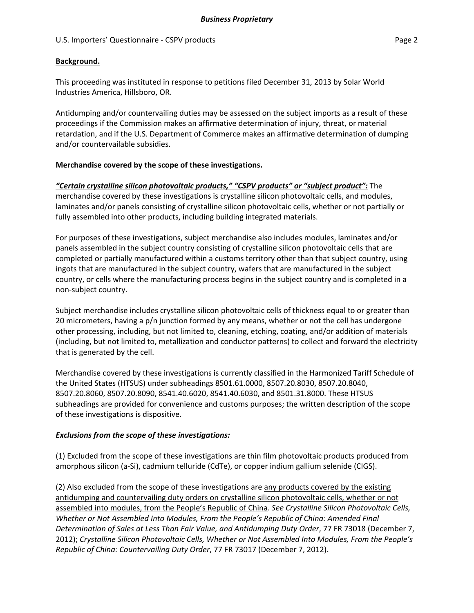### **Background.**

This proceeding was instituted in response to petitions filed December 31, 2013 by Solar World Industries America, Hillsboro, OR.

Antidumping and/or countervailing duties may be assessed on the subject imports as a result of these proceedings if the Commission makes an affirmative determination of injury, threat, or material retardation, and if the U.S. Department of Commerce makes an affirmative determination of dumping and/or countervailable subsidies.

### **Merchandise covered by the scope of these investigations.**

### *"Certain crystalline silicon photovoltaic products," "CSPV products" or "subject product":* The

merchandise covered by these investigations is crystalline silicon photovoltaic cells, and modules, laminates and/or panels consisting of crystalline silicon photovoltaic cells, whether or not partially or fully assembled into other products, including building integrated materials.

For purposes of these investigations, subject merchandise also includes modules, laminates and/or panels assembled in the subject country consisting of crystalline silicon photovoltaic cells that are completed or partially manufactured within a customs territory other than that subject country, using ingots that are manufactured in the subject country, wafers that are manufactured in the subject country, or cells where the manufacturing process begins in the subject country and is completed in a non‐subject country.

Subject merchandise includes crystalline silicon photovoltaic cells of thickness equal to or greater than 20 micrometers, having a p/n junction formed by any means, whether or not the cell has undergone other processing, including, but not limited to, cleaning, etching, coating, and/or addition of materials (including, but not limited to, metallization and conductor patterns) to collect and forward the electricity that is generated by the cell.

Merchandise covered by these investigations is currently classified in the Harmonized Tariff Schedule of the United States (HTSUS) under subheadings 8501.61.0000, 8507.20.8030, 8507.20.8040, 8507.20.8060, 8507.20.8090, 8541.40.6020, 8541.40.6030, and 8501.31.8000. These HTSUS subheadings are provided for convenience and customs purposes; the written description of the scope of these investigations is dispositive.

### *Exclusions from the scope of these investigations:*

(1) Excluded from the scope of these investigations are thin film photovoltaic products produced from amorphous silicon (a‐Si), cadmium telluride (CdTe), or copper indium gallium selenide (CIGS).

(2) Also excluded from the scope of these investigations are any products covered by the existing antidumping and countervailing duty orders on crystalline silicon photovoltaic cells, whether or not assembled into modules, from the People's Republic of China. *See Crystalline Silicon Photovoltaic Cells, Whether or Not Assembled Into Modules, From the People's Republic of China: Amended Final Determination of Sales at Less Than Fair Value, and Antidumping Duty Order*, 77 FR 73018 (December 7, 2012); *Crystalline Silicon Photovoltaic Cells, Whether or Not Assembled Into Modules, From the People's Republic of China: Countervailing Duty Order*, 77 FR 73017 (December 7, 2012).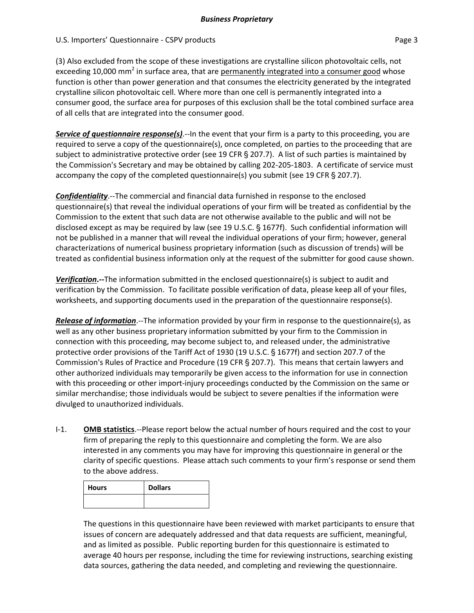(3) Also excluded from the scope of these investigations are crystalline silicon photovoltaic cells, not exceeding 10,000 mm<sup>2</sup> in surface area, that are permanently integrated into a consumer good whose function is other than power generation and that consumes the electricity generated by the integrated crystalline silicon photovoltaic cell. Where more than one cell is permanently integrated into a consumer good, the surface area for purposes of this exclusion shall be the total combined surface area of all cells that are integrated into the consumer good.

*Service of questionnaire response(s)*.‐‐In the event that your firm is a party to this proceeding, you are required to serve a copy of the questionnaire(s), once completed, on parties to the proceeding that are subject to administrative protective order (see 19 CFR  $\S$  207.7). A list of such parties is maintained by the Commission's Secretary and may be obtained by calling 202-205-1803. A certificate of service must accompany the copy of the completed questionnaire(s) you submit (see 19 CFR  $\S$  207.7).

*Confidentiality*.‐‐The commercial and financial data furnished in response to the enclosed questionnaire(s) that reveal the individual operations of your firm will be treated as confidential by the Commission to the extent that such data are not otherwise available to the public and will not be disclosed except as may be required by law (see 19 U.S.C.  $\S$  1677f). Such confidential information will not be published in a manner that will reveal the individual operations of your firm; however, general characterizations of numerical business proprietary information (such as discussion of trends) will be treated as confidential business information only at the request of the submitter for good cause shown.

**Verification.**—The information submitted in the enclosed questionnaire(s) is subject to audit and verification by the Commission. To facilitate possible verification of data, please keep all of your files, worksheets, and supporting documents used in the preparation of the questionnaire response(s).

*Release of information*.‐‐The information provided by your firm in response to the questionnaire(s), as well as any other business proprietary information submitted by your firm to the Commission in connection with this proceeding, may become subject to, and released under, the administrative protective order provisions of the Tariff Act of 1930 (19 U.S.C. § 1677f) and section 207.7 of the Commission's Rules of Practice and Procedure (19 CFR § 207.7). This means that certain lawyers and other authorized individuals may temporarily be given access to the information for use in connection with this proceeding or other import-injury proceedings conducted by the Commission on the same or similar merchandise; those individuals would be subject to severe penalties if the information were divulged to unauthorized individuals.

I‐1. **OMB statistics**.‐‐Please report below the actual number of hours required and the cost to your firm of preparing the reply to this questionnaire and completing the form. We are also interested in any comments you may have for improving this questionnaire in general or the clarity of specific questions. Please attach such comments to your firm's response or send them to the above address.

| <b>Hours</b> | <b>Dollars</b> |
|--------------|----------------|
|              |                |

The questions in this questionnaire have been reviewed with market participants to ensure that issues of concern are adequately addressed and that data requests are sufficient, meaningful, and as limited as possible. Public reporting burden for this questionnaire is estimated to average 40 hours per response, including the time for reviewing instructions, searching existing data sources, gathering the data needed, and completing and reviewing the questionnaire.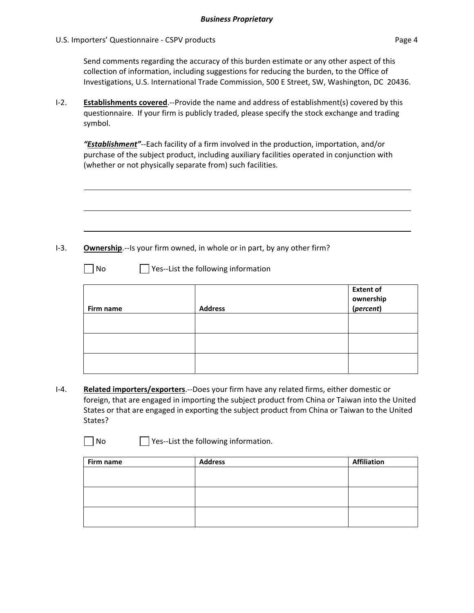Send comments regarding the accuracy of this burden estimate or any other aspect of this collection of information, including suggestions for reducing the burden, to the Office of Investigations, U.S. International Trade Commission, 500 E Street, SW, Washington, DC 20436.

I‐2. **Establishments covered**.‐‐Provide the name and address of establishment(s) covered by this questionnaire. If your firm is publicly traded, please specify the stock exchange and trading symbol.

*"Establishment"*‐‐Each facility of a firm involved in the production, importation, and/or purchase of the subject product, including auxiliary facilities operated in conjunction with (whether or not physically separate from) such facilities.

I-3. **Ownership**.--Is your firm owned, in whole or in part, by any other firm?

□ No Yes--List the following information

| Firm name | <b>Address</b> | <b>Extent of</b><br>ownership<br>(percent) |
|-----------|----------------|--------------------------------------------|
|           |                |                                            |
|           |                |                                            |
|           |                |                                            |
|           |                |                                            |
|           |                |                                            |
|           |                |                                            |
|           |                |                                            |
|           |                |                                            |
|           |                |                                            |

I‐4. **Related importers/exporters**.‐‐Does your firm have any related firms, either domestic or foreign, that are engaged in importing the subject product from China or Taiwan into the United States or that are engaged in exporting the subject product from China or Taiwan to the United States?

 $\Box$  No  $\Box$  Yes--List the following information.

| Firm name | <b>Address</b> | <b>Affiliation</b> |
|-----------|----------------|--------------------|
|           |                |                    |
|           |                |                    |
|           |                |                    |
|           |                |                    |
|           |                |                    |
|           |                |                    |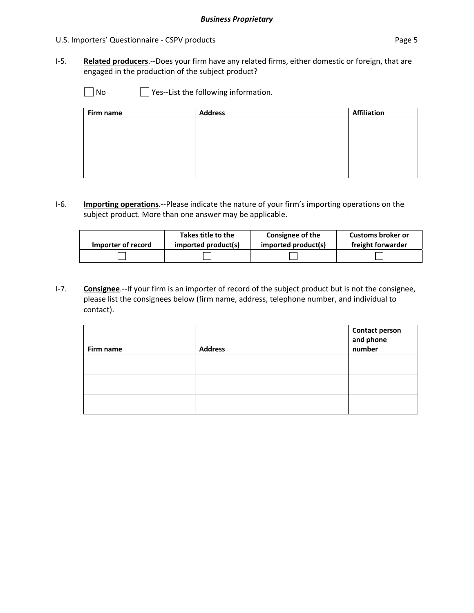I‐5. **Related producers**.‐‐Does your firm have any related firms, either domestic or foreign, that are engaged in the production of the subject product?

□ No <br>□ Yes--List the following information.

| Firm name | <b>Address</b> | <b>Affiliation</b> |
|-----------|----------------|--------------------|
|           |                |                    |
|           |                |                    |
|           |                |                    |
|           |                |                    |
|           |                |                    |
|           |                |                    |

I‐6. **Importing operations**.‐‐Please indicate the nature of your firm's importing operations on the subject product. More than one answer may be applicable.

| Importer of record | Takes title to the  | Consignee of the    | Customs broker or |
|--------------------|---------------------|---------------------|-------------------|
|                    | imported product(s) | imported product(s) | freight forwarder |
|                    |                     |                     |                   |

I‐7. **Consignee**.‐‐If your firm is an importer of record of the subject product but is not the consignee, please list the consignees below (firm name, address, telephone number, and individual to contact).

| Firm name | <b>Address</b> | <b>Contact person<br/>and phone<br/>number</b> |
|-----------|----------------|------------------------------------------------|
|           |                |                                                |
|           |                |                                                |
|           |                |                                                |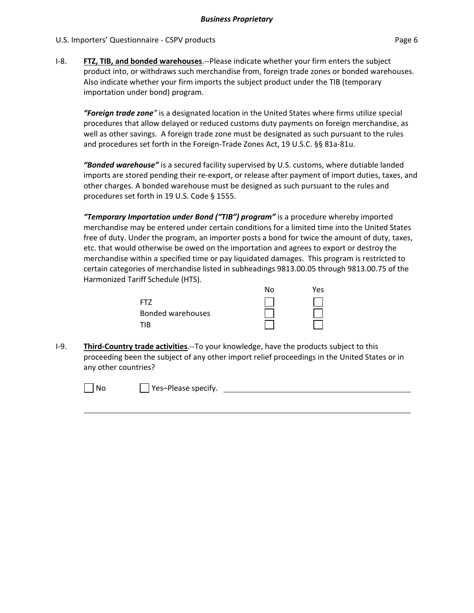I‐8. **FTZ, TIB, and bonded warehouses**.‐‐Please indicate whether your firm enters the subject product into, or withdraws such merchandise from, foreign trade zones or bonded warehouses. Also indicate whether your firm imports the subject product under the TIB (temporary importation under bond) program.

*"Foreign trade zone"* is a designated location in the United States where firms utilize special procedures that allow delayed or reduced customs duty payments on foreign merchandise, as well as other savings. A foreign trade zone must be designated as such pursuant to the rules and procedures set forth in the Foreign‐Trade Zones Act, 19 U.S.C. §§ 81a‐81u.

*"Bonded warehouse"* is a secured facility supervised by U.S. customs, where dutiable landed imports are stored pending their re‐export, or release after payment of import duties, taxes, and other charges. A bonded warehouse must be designed as such pursuant to the rules and procedures set forth in 19 U.S. Code § 1555.

*"Temporary Importation under Bond ("TIB") program"* is a procedure whereby imported merchandise may be entered under certain conditions for a limited time into the United States free of duty. Under the program, an importer posts a bond for twice the amount of duty, taxes, etc. that would otherwise be owed on the importation and agrees to export or destroy the merchandise within a specified time or pay liquidated damages. This program is restricted to certain categories of merchandise listed in subheadings 9813.00.05 through 9813.00.75 of the Harmonized Tariff Schedule (HTS).

|                          | N٥ | Yes |
|--------------------------|----|-----|
| FT7                      |    |     |
| <b>Bonded warehouses</b> |    |     |
| TIR                      |    |     |

I‐9. **Third‐Country trade activities**.‐‐To your knowledge, have the products subject to this proceeding been the subject of any other import relief proceedings in the United States or in any other countries?

<u> 1980 - Johann Stoff, die erste besteht der Stoffens und die Stoffens und die Stoffens und die Stoffens und die</u>

No Please specify.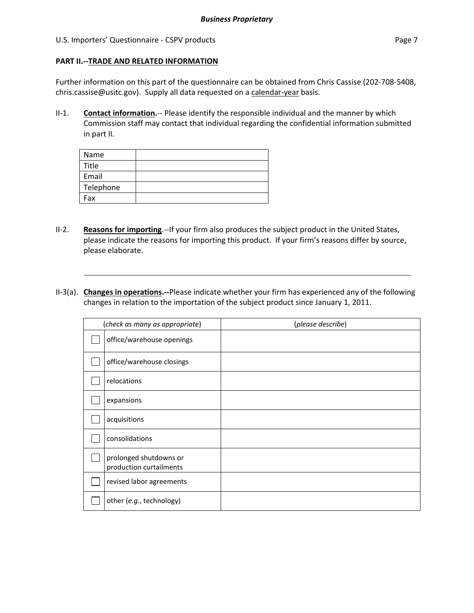### U.S. Importers' Questionnaire - CSPV products **Page 7** and the extent of the extent of the Page 7

**PART II.‐‐TRADE AND RELATED INFORMATION**

### Further information on this part of the questionnaire can be obtained from Chris Cassise (202-708-5408, chris.cassise@usitc.gov). Supply all data requested on a calendar-year basis.

II‐1. **Contact information.**‐‐ Please identify the responsible individual and the manner by which Commission staff may contact that individual regarding the confidential information submitted in part II.

| Name      |  |
|-----------|--|
| Title     |  |
| Email     |  |
| Telephone |  |
| Fax       |  |

- II‐2. **Reasons for importing**.‐‐If your firm also produces the subject product in the United States, please indicate the reasons for importing this product. If your firm's reasons differ by source, please elaborate.
- II‐3(a). **Changes in operations.‐‐**Please indicate whether your firm has experienced any of the following changes in relation to the importation of the subject product since January 1, 2011.

| (check as many as appropriate)                    | (please describe) |
|---------------------------------------------------|-------------------|
| office/warehouse openings                         |                   |
| office/warehouse closings                         |                   |
| relocations                                       |                   |
| expansions                                        |                   |
| acquisitions                                      |                   |
| consolidations                                    |                   |
| prolonged shutdowns or<br>production curtailments |                   |
| revised labor agreements                          |                   |
| other (e.g., technology)                          |                   |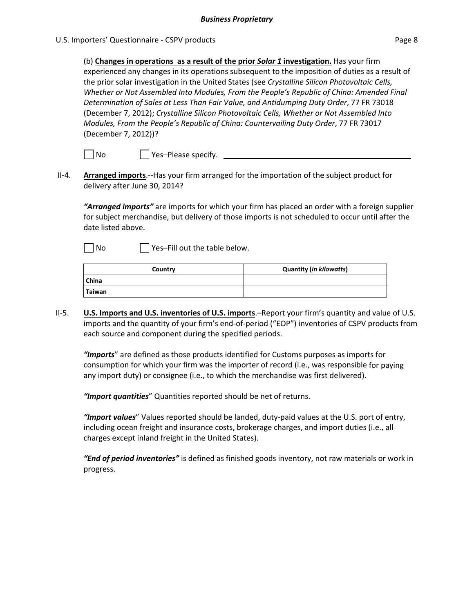(b) **Changes in operations as a result of the prior** *Solar 1* **investigation.** Has your firm experienced any changes in its operations subsequent to the imposition of duties as a result of the prior solar investigation in the United States (see *Crystalline Silicon Photovoltaic Cells, Whether or Not Assembled Into Modules, From the People's Republic of China: Amended Final Determination of Sales at Less Than Fair Value, and Antidumping Duty Order*, 77 FR 73018 (December 7, 2012); *Crystalline Silicon Photovoltaic Cells, Whether or Not Assembled Into Modules, From the People's Republic of China: Countervailing Duty Order*, 77 FR 73017 (December 7, 2012))?

| | No | | | Yes–Please specify.

II‐4. **Arranged imports**.‐‐Has your firm arranged for the importation of the subject product for delivery after June 30, 2014?

*"Arranged imports"* are imports for which your firm has placed an order with a foreign supplier for subject merchandise, but delivery of those imports is not scheduled to occur until after the date listed above.

 $\neg$  No  $\neg$  Yes–Fill out the table below.

| Country      | <b>Quantity (in kilowatts)</b> |
|--------------|--------------------------------|
| <b>China</b> |                                |
| Taiwan       |                                |

II‐5. **U.S. Imports and U.S. inventories of U.S. imports**.–Report your firm's quantity and value of U.S. imports and the quantity of your firm's end‐of‐period ("EOP") inventories of CSPV products from each source and component during the specified periods.

*"Imports*" are defined as those products identified for Customs purposes as imports for consumption for which your firm was the importer of record (i.e., was responsible for paying any import duty) or consignee (i.e., to which the merchandise was first delivered).

*"Import quantities*" Quantities reported should be net of returns.

*"Import values*" Values reported should be landed, duty‐paid values at the U.S. port of entry, including ocean freight and insurance costs, brokerage charges, and import duties (i.e., all charges except inland freight in the United States).

*"End of period inventories"* is defined as finished goods inventory, not raw materials or work in progress.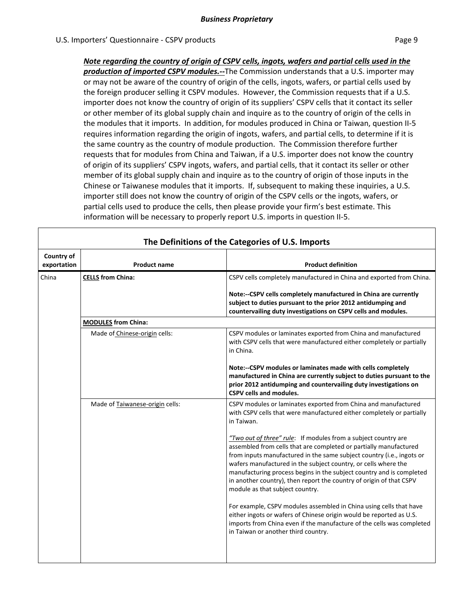*Note regarding the country of origin of CSPV cells, ingots, wafers and partial cells used in the production of imported CSPV modules.‐‐*The Commission understands that a U.S. importer may or may not be aware of the country of origin of the cells, ingots, wafers, or partial cells used by the foreign producer selling it CSPV modules. However, the Commission requests that if a U.S. importer does not know the country of origin of its suppliers' CSPV cells that it contact its seller or other member of its global supply chain and inquire as to the country of origin of the cells in the modules that it imports. In addition, for modules produced in China or Taiwan, question II‐5 requires information regarding the origin of ingots, wafers, and partial cells, to determine if it is the same country as the country of module production. The Commission therefore further requests that for modules from China and Taiwan, if a U.S. importer does not know the country of origin of its suppliers' CSPV ingots, wafers, and partial cells, that it contact its seller or other member of its global supply chain and inquire as to the country of origin of those inputs in the Chinese or Taiwanese modules that it imports. If, subsequent to making these inquiries, a U.S. importer still does not know the country of origin of the CSPV cells or the ingots, wafers, or partial cells used to produce the cells, then please provide your firm's best estimate. This information will be necessary to properly report U.S. imports in question II‐5.

|                           |                                 | The Definitions of the Categories of U.S. Imports                                                                                                                                                                                                                                                                                                                                                                                                                                                                                      |  |  |  |  |  |  |
|---------------------------|---------------------------------|----------------------------------------------------------------------------------------------------------------------------------------------------------------------------------------------------------------------------------------------------------------------------------------------------------------------------------------------------------------------------------------------------------------------------------------------------------------------------------------------------------------------------------------|--|--|--|--|--|--|
| Country of<br>exportation | <b>Product name</b>             | <b>Product definition</b>                                                                                                                                                                                                                                                                                                                                                                                                                                                                                                              |  |  |  |  |  |  |
| China                     | <b>CELLS from China:</b>        | CSPV cells completely manufactured in China and exported from China.                                                                                                                                                                                                                                                                                                                                                                                                                                                                   |  |  |  |  |  |  |
|                           |                                 | Note:--CSPV cells completely manufactured in China are currently<br>subject to duties pursuant to the prior 2012 antidumping and<br>countervailing duty investigations on CSPV cells and modules.                                                                                                                                                                                                                                                                                                                                      |  |  |  |  |  |  |
|                           | <b>MODULES from China:</b>      |                                                                                                                                                                                                                                                                                                                                                                                                                                                                                                                                        |  |  |  |  |  |  |
|                           | Made of Chinese-origin cells:   | CSPV modules or laminates exported from China and manufactured<br>with CSPV cells that were manufactured either completely or partially<br>in China.                                                                                                                                                                                                                                                                                                                                                                                   |  |  |  |  |  |  |
|                           |                                 | Note:--CSPV modules or laminates made with cells completely<br>manufactured in China are currently subject to duties pursuant to the<br>prior 2012 antidumping and countervailing duty investigations on<br>CSPV cells and modules.                                                                                                                                                                                                                                                                                                    |  |  |  |  |  |  |
|                           | Made of Taiwanese-origin cells: | CSPV modules or laminates exported from China and manufactured<br>with CSPV cells that were manufactured either completely or partially<br>in Taiwan.                                                                                                                                                                                                                                                                                                                                                                                  |  |  |  |  |  |  |
|                           |                                 | "Two out of three" rule: If modules from a subject country are<br>assembled from cells that are completed or partially manufactured<br>from inputs manufactured in the same subject country (i.e., ingots or<br>wafers manufactured in the subject country, or cells where the<br>manufacturing process begins in the subject country and is completed<br>in another country), then report the country of origin of that CSPV<br>module as that subject country.<br>For example, CSPV modules assembled in China using cells that have |  |  |  |  |  |  |
|                           |                                 | either ingots or wafers of Chinese origin would be reported as U.S.<br>imports from China even if the manufacture of the cells was completed<br>in Taiwan or another third country.                                                                                                                                                                                                                                                                                                                                                    |  |  |  |  |  |  |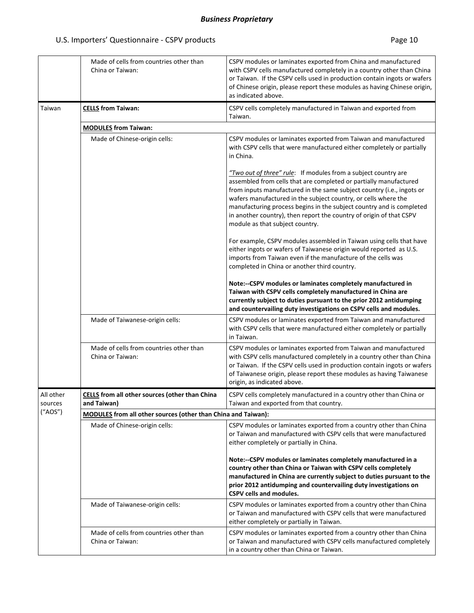|                      | Made of cells from countries other than<br>China or Taiwan:          | CSPV modules or laminates exported from China and manufactured<br>with CSPV cells manufactured completely in a country other than China<br>or Taiwan. If the CSPV cells used in production contain ingots or wafers<br>of Chinese origin, please report these modules as having Chinese origin,<br>as indicated above.                                                                                                                                           |  |  |  |  |  |  |  |
|----------------------|----------------------------------------------------------------------|------------------------------------------------------------------------------------------------------------------------------------------------------------------------------------------------------------------------------------------------------------------------------------------------------------------------------------------------------------------------------------------------------------------------------------------------------------------|--|--|--|--|--|--|--|
| Taiwan               | <b>CELLS</b> from Taiwan:                                            | CSPV cells completely manufactured in Taiwan and exported from<br>Taiwan.                                                                                                                                                                                                                                                                                                                                                                                        |  |  |  |  |  |  |  |
|                      | <b>MODULES</b> from Taiwan:                                          |                                                                                                                                                                                                                                                                                                                                                                                                                                                                  |  |  |  |  |  |  |  |
|                      | Made of Chinese-origin cells:                                        | CSPV modules or laminates exported from Taiwan and manufactured<br>with CSPV cells that were manufactured either completely or partially<br>in China.                                                                                                                                                                                                                                                                                                            |  |  |  |  |  |  |  |
|                      |                                                                      | "Two out of three" rule: If modules from a subject country are<br>assembled from cells that are completed or partially manufactured<br>from inputs manufactured in the same subject country (i.e., ingots or<br>wafers manufactured in the subject country, or cells where the<br>manufacturing process begins in the subject country and is completed<br>in another country), then report the country of origin of that CSPV<br>module as that subject country. |  |  |  |  |  |  |  |
|                      |                                                                      | For example, CSPV modules assembled in Taiwan using cells that have<br>either ingots or wafers of Taiwanese origin would reported as U.S.<br>imports from Taiwan even if the manufacture of the cells was<br>completed in China or another third country.                                                                                                                                                                                                        |  |  |  |  |  |  |  |
|                      |                                                                      | Note:--CSPV modules or laminates completely manufactured in<br>Taiwan with CSPV cells completely manufactured in China are<br>currently subject to duties pursuant to the prior 2012 antidumping<br>and countervailing duty investigations on CSPV cells and modules.                                                                                                                                                                                            |  |  |  |  |  |  |  |
|                      | Made of Taiwanese-origin cells:                                      | CSPV modules or laminates exported from Taiwan and manufactured<br>with CSPV cells that were manufactured either completely or partially<br>in Taiwan.                                                                                                                                                                                                                                                                                                           |  |  |  |  |  |  |  |
|                      | Made of cells from countries other than<br>China or Taiwan:          | CSPV modules or laminates exported from Taiwan and manufactured<br>with CSPV cells manufactured completely in a country other than China<br>or Taiwan. If the CSPV cells used in production contain ingots or wafers<br>of Taiwanese origin, please report these modules as having Taiwanese<br>origin, as indicated above.                                                                                                                                      |  |  |  |  |  |  |  |
| All other<br>sources | CELLS from all other sources (other than China<br>and Taiwan)        | CSPV cells completely manufactured in a country other than China or<br>Taiwan and exported from that country.                                                                                                                                                                                                                                                                                                                                                    |  |  |  |  |  |  |  |
| ("AOS")              | <b>MODULES</b> from all other sources (other than China and Taiwan): |                                                                                                                                                                                                                                                                                                                                                                                                                                                                  |  |  |  |  |  |  |  |
|                      | Made of Chinese-origin cells:                                        | CSPV modules or laminates exported from a country other than China<br>or Taiwan and manufactured with CSPV cells that were manufactured<br>either completely or partially in China.                                                                                                                                                                                                                                                                              |  |  |  |  |  |  |  |
|                      |                                                                      | Note:--CSPV modules or laminates completely manufactured in a<br>country other than China or Taiwan with CSPV cells completely<br>manufactured in China are currently subject to duties pursuant to the<br>prior 2012 antidumping and countervailing duty investigations on<br><b>CSPV cells and modules.</b>                                                                                                                                                    |  |  |  |  |  |  |  |
|                      | Made of Taiwanese-origin cells:                                      | CSPV modules or laminates exported from a country other than China<br>or Taiwan and manufactured with CSPV cells that were manufactured<br>either completely or partially in Taiwan.                                                                                                                                                                                                                                                                             |  |  |  |  |  |  |  |
|                      | Made of cells from countries other than<br>China or Taiwan:          | CSPV modules or laminates exported from a country other than China<br>or Taiwan and manufactured with CSPV cells manufactured completely<br>in a country other than China or Taiwan.                                                                                                                                                                                                                                                                             |  |  |  |  |  |  |  |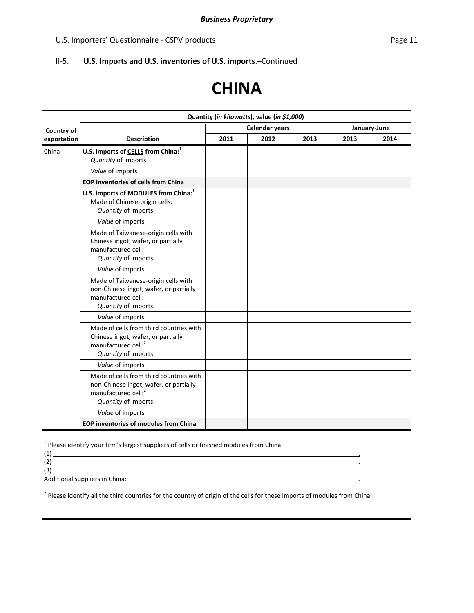### U.S. Importers' Questionnaire - CSPV products **Page 11** and Page 11

### II‐5. **U.S. Imports and U.S. inventories of U.S. imports**.–Continued

# **CHINA**

|                                                                                                                                                                                                                                                                                                                                                                                                                                                                                          | Quantity (in kilowatts), value (in \$1,000)                                                                                                 |      |      |              |      |      |  |  |  |
|------------------------------------------------------------------------------------------------------------------------------------------------------------------------------------------------------------------------------------------------------------------------------------------------------------------------------------------------------------------------------------------------------------------------------------------------------------------------------------------|---------------------------------------------------------------------------------------------------------------------------------------------|------|------|--------------|------|------|--|--|--|
| Country of                                                                                                                                                                                                                                                                                                                                                                                                                                                                               |                                                                                                                                             |      |      | January-June |      |      |  |  |  |
| exportation                                                                                                                                                                                                                                                                                                                                                                                                                                                                              | <b>Description</b>                                                                                                                          | 2011 | 2012 | 2013         | 2013 | 2014 |  |  |  |
| China                                                                                                                                                                                                                                                                                                                                                                                                                                                                                    | U.S. imports of CELLS from China: <sup>1</sup><br>Quantity of imports                                                                       |      |      |              |      |      |  |  |  |
|                                                                                                                                                                                                                                                                                                                                                                                                                                                                                          | Value of imports                                                                                                                            |      |      |              |      |      |  |  |  |
|                                                                                                                                                                                                                                                                                                                                                                                                                                                                                          | <b>EOP inventories of cells from China</b>                                                                                                  |      |      |              |      |      |  |  |  |
|                                                                                                                                                                                                                                                                                                                                                                                                                                                                                          | U.S. imports of <b>MODULES</b> from China: <sup>1</sup><br>Made of Chinese-origin cells:<br>Quantity of imports                             |      |      |              |      |      |  |  |  |
|                                                                                                                                                                                                                                                                                                                                                                                                                                                                                          | Value of imports                                                                                                                            |      |      |              |      |      |  |  |  |
|                                                                                                                                                                                                                                                                                                                                                                                                                                                                                          | Made of Taiwanese-origin cells with<br>Chinese ingot, wafer, or partially<br>manufactured cell:<br>Quantity of imports                      |      |      |              |      |      |  |  |  |
|                                                                                                                                                                                                                                                                                                                                                                                                                                                                                          | Value of imports                                                                                                                            |      |      |              |      |      |  |  |  |
|                                                                                                                                                                                                                                                                                                                                                                                                                                                                                          | Made of Taiwanese-origin cells with<br>non-Chinese ingot, wafer, or partially<br>manufactured cell:<br>Quantity of imports                  |      |      |              |      |      |  |  |  |
|                                                                                                                                                                                                                                                                                                                                                                                                                                                                                          | Value of imports                                                                                                                            |      |      |              |      |      |  |  |  |
|                                                                                                                                                                                                                                                                                                                                                                                                                                                                                          | Made of cells from third countries with<br>Chinese ingot, wafer, or partially<br>manufactured cell: <sup>2</sup><br>Quantity of imports     |      |      |              |      |      |  |  |  |
|                                                                                                                                                                                                                                                                                                                                                                                                                                                                                          | Value of imports                                                                                                                            |      |      |              |      |      |  |  |  |
|                                                                                                                                                                                                                                                                                                                                                                                                                                                                                          | Made of cells from third countries with<br>non-Chinese ingot, wafer, or partially<br>manufactured cell: <sup>2</sup><br>Quantity of imports |      |      |              |      |      |  |  |  |
|                                                                                                                                                                                                                                                                                                                                                                                                                                                                                          | Value of imports                                                                                                                            |      |      |              |      |      |  |  |  |
|                                                                                                                                                                                                                                                                                                                                                                                                                                                                                          | <b>EOP inventories of modules from China</b>                                                                                                |      |      |              |      |      |  |  |  |
| $1$ Please identify your firm's largest suppliers of cells or finished modules from China:<br>(1)<br>(2)<br>(3)<br>Additional suppliers in China: Letter and the control of the control of the control of the control of the control of the control of the control of the control of the control of the control of the control of the control of<br><sup>2</sup> Please identify all the third countries for the country of origin of the cells for these imports of modules from China: |                                                                                                                                             |      |      |              |      |      |  |  |  |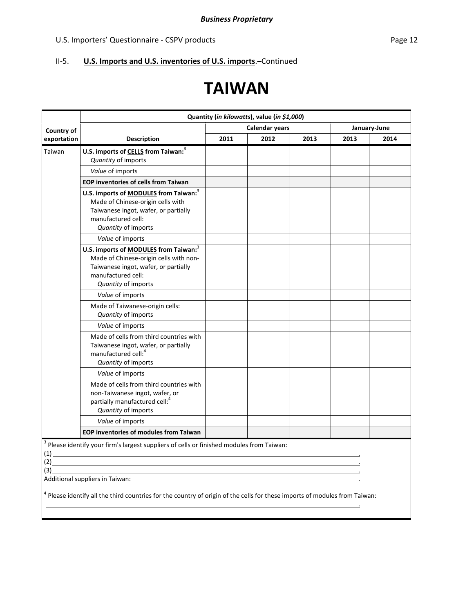### II‐5. **U.S. Imports and U.S. inventories of U.S. imports**.–Continued

# **TAIWAN**

|                   | Quantity (in kilowatts), value (in \$1,000)                                                                                                                                                                                                                                                                                                                                            |                       |      |              |      |      |  |  |
|-------------------|----------------------------------------------------------------------------------------------------------------------------------------------------------------------------------------------------------------------------------------------------------------------------------------------------------------------------------------------------------------------------------------|-----------------------|------|--------------|------|------|--|--|
| Country of        |                                                                                                                                                                                                                                                                                                                                                                                        | <b>Calendar years</b> |      | January-June |      |      |  |  |
| exportation       | <b>Description</b>                                                                                                                                                                                                                                                                                                                                                                     | 2011                  | 2012 | 2013         | 2013 | 2014 |  |  |
| Taiwan            | U.S. imports of CELLS from Taiwan: <sup>3</sup><br>Quantity of imports                                                                                                                                                                                                                                                                                                                 |                       |      |              |      |      |  |  |
|                   | Value of imports                                                                                                                                                                                                                                                                                                                                                                       |                       |      |              |      |      |  |  |
|                   | <b>EOP inventories of cells from Taiwan</b>                                                                                                                                                                                                                                                                                                                                            |                       |      |              |      |      |  |  |
|                   | U.S. imports of <b>MODULES</b> from Taiwan: <sup>3</sup><br>Made of Chinese-origin cells with<br>Taiwanese ingot, wafer, or partially<br>manufactured cell:<br>Quantity of imports                                                                                                                                                                                                     |                       |      |              |      |      |  |  |
|                   | Value of imports                                                                                                                                                                                                                                                                                                                                                                       |                       |      |              |      |      |  |  |
|                   | U.S. imports of <b>MODULES</b> from Taiwan: <sup>3</sup><br>Made of Chinese-origin cells with non-<br>Taiwanese ingot, wafer, or partially<br>manufactured cell:<br>Quantity of imports                                                                                                                                                                                                |                       |      |              |      |      |  |  |
|                   | Value of imports                                                                                                                                                                                                                                                                                                                                                                       |                       |      |              |      |      |  |  |
|                   | Made of Taiwanese-origin cells:<br>Quantity of imports                                                                                                                                                                                                                                                                                                                                 |                       |      |              |      |      |  |  |
|                   | Value of imports                                                                                                                                                                                                                                                                                                                                                                       |                       |      |              |      |      |  |  |
|                   | Made of cells from third countries with<br>Taiwanese ingot, wafer, or partially<br>manufactured cell: <sup>4</sup><br>Quantity of imports                                                                                                                                                                                                                                              |                       |      |              |      |      |  |  |
|                   | Value of imports                                                                                                                                                                                                                                                                                                                                                                       |                       |      |              |      |      |  |  |
|                   | Made of cells from third countries with<br>non-Taiwanese ingot, wafer, or<br>partially manufactured cell: <sup>4</sup><br>Quantity of imports                                                                                                                                                                                                                                          |                       |      |              |      |      |  |  |
|                   | Value of imports                                                                                                                                                                                                                                                                                                                                                                       |                       |      |              |      |      |  |  |
|                   | EOP inventories of modules from Taiwan                                                                                                                                                                                                                                                                                                                                                 |                       |      |              |      |      |  |  |
| (1)<br>(2)<br>(3) | Please identify your firm's largest suppliers of cells or finished modules from Taiwan:<br><u> 1980 - Johann Barn, amerikansk politiker (d. 1980)</u><br>Additional suppliers in Taiwan: example and a series of the state of the state of the state of the state of the state of the state of the state of the state of the state of the state of the state of the state of the state |                       |      |              |      |      |  |  |
|                   | <sup>4</sup> Please identify all the third countries for the country of origin of the cells for these imports of modules from Taiwan:                                                                                                                                                                                                                                                  |                       |      |              |      |      |  |  |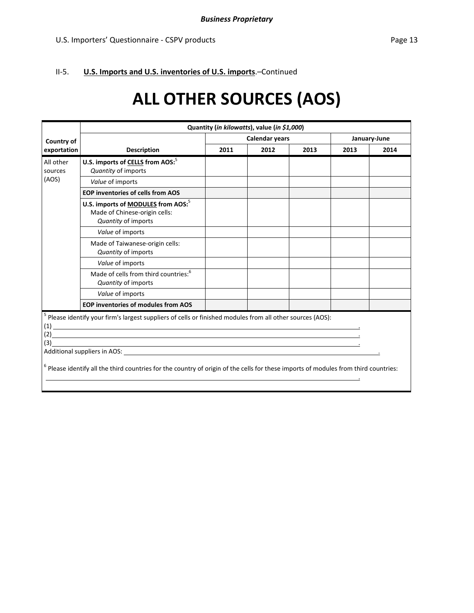### II‐5. **U.S. Imports and U.S. inventories of U.S. imports**.–Continued

# **ALL OTHER SOURCES (AOS)**

|                      |                                                                                                                                                                                                                                                                                                                                                                                                                                                                                                                                                                                                                                                                                                                                                                                                                                 | Quantity (in kilowatts), value (in \$1,000) |                       |      |              |      |  |  |  |  |  |
|----------------------|---------------------------------------------------------------------------------------------------------------------------------------------------------------------------------------------------------------------------------------------------------------------------------------------------------------------------------------------------------------------------------------------------------------------------------------------------------------------------------------------------------------------------------------------------------------------------------------------------------------------------------------------------------------------------------------------------------------------------------------------------------------------------------------------------------------------------------|---------------------------------------------|-----------------------|------|--------------|------|--|--|--|--|--|
| Country of           |                                                                                                                                                                                                                                                                                                                                                                                                                                                                                                                                                                                                                                                                                                                                                                                                                                 |                                             | <b>Calendar years</b> |      | January-June |      |  |  |  |  |  |
| exportation          | <b>Description</b>                                                                                                                                                                                                                                                                                                                                                                                                                                                                                                                                                                                                                                                                                                                                                                                                              | 2011                                        | 2012                  | 2013 | 2013         | 2014 |  |  |  |  |  |
| All other<br>sources | U.S. imports of CELLS from AOS: <sup>5</sup><br>Quantity of imports                                                                                                                                                                                                                                                                                                                                                                                                                                                                                                                                                                                                                                                                                                                                                             |                                             |                       |      |              |      |  |  |  |  |  |
| (AOS)                | Value of imports                                                                                                                                                                                                                                                                                                                                                                                                                                                                                                                                                                                                                                                                                                                                                                                                                |                                             |                       |      |              |      |  |  |  |  |  |
|                      | <b>EOP inventories of cells from AOS</b>                                                                                                                                                                                                                                                                                                                                                                                                                                                                                                                                                                                                                                                                                                                                                                                        |                                             |                       |      |              |      |  |  |  |  |  |
|                      | U.S. imports of MODULES from AOS: <sup>5</sup><br>Made of Chinese-origin cells:<br>Quantity of imports                                                                                                                                                                                                                                                                                                                                                                                                                                                                                                                                                                                                                                                                                                                          |                                             |                       |      |              |      |  |  |  |  |  |
|                      | Value of imports                                                                                                                                                                                                                                                                                                                                                                                                                                                                                                                                                                                                                                                                                                                                                                                                                |                                             |                       |      |              |      |  |  |  |  |  |
|                      | Made of Taiwanese-origin cells:<br>Quantity of imports                                                                                                                                                                                                                                                                                                                                                                                                                                                                                                                                                                                                                                                                                                                                                                          |                                             |                       |      |              |      |  |  |  |  |  |
|                      | Value of imports                                                                                                                                                                                                                                                                                                                                                                                                                                                                                                                                                                                                                                                                                                                                                                                                                |                                             |                       |      |              |      |  |  |  |  |  |
|                      | Made of cells from third countries: <sup>6</sup><br>Quantity of imports                                                                                                                                                                                                                                                                                                                                                                                                                                                                                                                                                                                                                                                                                                                                                         |                                             |                       |      |              |      |  |  |  |  |  |
|                      | Value of imports                                                                                                                                                                                                                                                                                                                                                                                                                                                                                                                                                                                                                                                                                                                                                                                                                |                                             |                       |      |              |      |  |  |  |  |  |
|                      | <b>EOP inventories of modules from AOS</b>                                                                                                                                                                                                                                                                                                                                                                                                                                                                                                                                                                                                                                                                                                                                                                                      |                                             |                       |      |              |      |  |  |  |  |  |
| (1)<br>(2)<br>(3)    | Please identify your firm's largest suppliers of cells or finished modules from all other sources (AOS):<br><u> 1989 - Johann Stoff, deutscher Stoffen und der Stoffen und der Stoffen und der Stoffen und der Stoffen und der</u><br><u> 1989 - Johann Stoff, amerikansk politiker (d. 1989)</u><br>,我们也不能在这里的时候,我们也不能在这里的时候,我们也不能会不能会不能会不能会不能会不能会不能会不能会不能会不能会。<br>第2012章 我们的时候,我们的时候,我们的时候,我们的时候,我们的时候,我们的时候,我们的时候,我们的时候,我们的时候,我们的时候,我们的时候,我们的时候,我<br>Additional suppliers in AOS: Note that the state of the state of the state of the state of the state of the state of the state of the state of the state of the state of the state of the state of the state of the state of t<br>$6$ Please identify all the third countries for the country of origin of the cells for these imports of modules from third countries: |                                             |                       |      |              |      |  |  |  |  |  |
|                      |                                                                                                                                                                                                                                                                                                                                                                                                                                                                                                                                                                                                                                                                                                                                                                                                                                 |                                             |                       |      |              |      |  |  |  |  |  |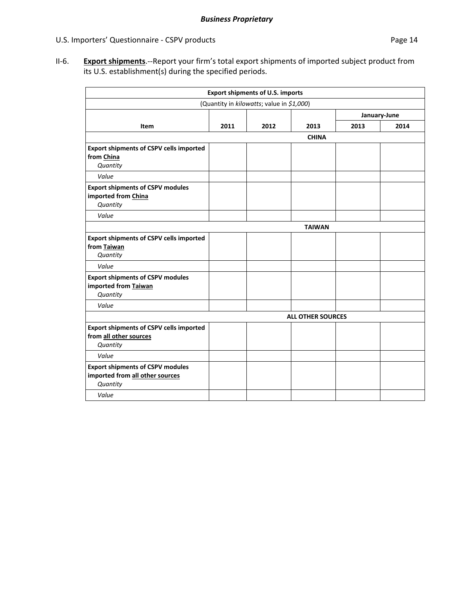II‐6. **Export shipments**.‐‐Report your firm's total export shipments of imported subject product from its U.S. establishment(s) during the specified periods.

| <b>Export shipments of U.S. imports</b>                                                |      |      |                          |      |      |  |  |  |  |
|----------------------------------------------------------------------------------------|------|------|--------------------------|------|------|--|--|--|--|
| (Quantity in kilowatts; value in \$1,000)                                              |      |      |                          |      |      |  |  |  |  |
| January-June                                                                           |      |      |                          |      |      |  |  |  |  |
| Item                                                                                   | 2011 | 2012 | 2013                     | 2013 | 2014 |  |  |  |  |
|                                                                                        |      |      | <b>CHINA</b>             |      |      |  |  |  |  |
| <b>Export shipments of CSPV cells imported</b><br>from China<br>Quantity               |      |      |                          |      |      |  |  |  |  |
| Value                                                                                  |      |      |                          |      |      |  |  |  |  |
| <b>Export shipments of CSPV modules</b><br>imported from China<br>Quantity             |      |      |                          |      |      |  |  |  |  |
| Value                                                                                  |      |      |                          |      |      |  |  |  |  |
|                                                                                        |      |      | <b>TAIWAN</b>            |      |      |  |  |  |  |
| <b>Export shipments of CSPV cells imported</b><br>from Taiwan<br>Quantity              |      |      |                          |      |      |  |  |  |  |
| Value                                                                                  |      |      |                          |      |      |  |  |  |  |
| <b>Export shipments of CSPV modules</b><br>imported from Taiwan<br>Quantity            |      |      |                          |      |      |  |  |  |  |
| Value                                                                                  |      |      |                          |      |      |  |  |  |  |
| <b>Export shipments of CSPV cells imported</b><br>from all other sources<br>Quantity   |      |      | <b>ALL OTHER SOURCES</b> |      |      |  |  |  |  |
| Value                                                                                  |      |      |                          |      |      |  |  |  |  |
| <b>Export shipments of CSPV modules</b><br>imported from all other sources<br>Quantity |      |      |                          |      |      |  |  |  |  |
| Value                                                                                  |      |      |                          |      |      |  |  |  |  |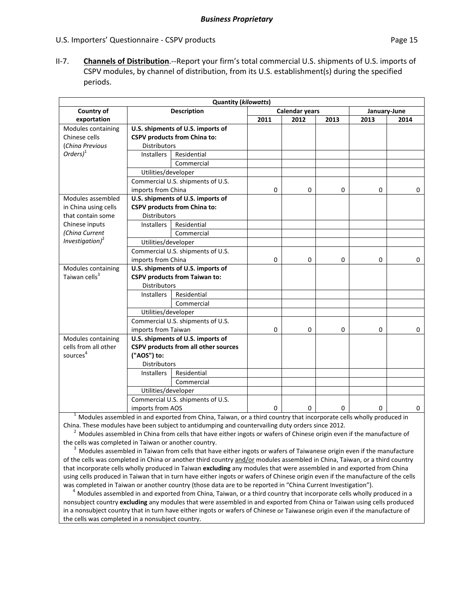II‐7. **Channels of Distribution**.‐‐Report your firm's total commercial U.S. shipments of U.S. imports of CSPV modules, by channel of distribution, from its U.S. establishment(s) during the specified periods.

| <b>Quantity (kilowatts)</b> |                                   |                                      |             |                       |             |              |             |  |  |
|-----------------------------|-----------------------------------|--------------------------------------|-------------|-----------------------|-------------|--------------|-------------|--|--|
| Country of                  |                                   | <b>Description</b>                   |             | <b>Calendar years</b> |             | January-June |             |  |  |
| exportation                 |                                   |                                      | 2011        | 2012                  | 2013        | 2013         | 2014        |  |  |
| Modules containing          |                                   | U.S. shipments of U.S. imports of    |             |                       |             |              |             |  |  |
| Chinese cells               |                                   | <b>CSPV products from China to:</b>  |             |                       |             |              |             |  |  |
| (China Previous             | <b>Distributors</b>               |                                      |             |                       |             |              |             |  |  |
| $Orders)^1$                 | <b>Installers</b>                 | Residential                          |             |                       |             |              |             |  |  |
|                             |                                   | Commercial                           |             |                       |             |              |             |  |  |
|                             | Utilities/developer               |                                      |             |                       |             |              |             |  |  |
|                             |                                   | Commercial U.S. shipments of U.S.    |             |                       |             |              |             |  |  |
|                             | imports from China                |                                      | $\mathbf 0$ | $\mathbf 0$           | $\mathbf 0$ | 0            | 0           |  |  |
| Modules assembled           |                                   | U.S. shipments of U.S. imports of    |             |                       |             |              |             |  |  |
| in China using cells        |                                   | <b>CSPV products from China to:</b>  |             |                       |             |              |             |  |  |
| that contain some           | <b>Distributors</b>               |                                      |             |                       |             |              |             |  |  |
| Chinese inputs              | <b>Installers</b>                 | Residential                          |             |                       |             |              |             |  |  |
| (China Current              |                                   | Commercial                           |             |                       |             |              |             |  |  |
| Investigation) <sup>2</sup> | Utilities/developer               |                                      |             |                       |             |              |             |  |  |
|                             | Commercial U.S. shipments of U.S. |                                      |             |                       |             |              |             |  |  |
|                             | imports from China                |                                      | $\mathbf 0$ | $\mathbf 0$           | $\mathbf 0$ | 0            | $\Omega$    |  |  |
| Modules containing          |                                   | U.S. shipments of U.S. imports of    |             |                       |             |              |             |  |  |
| Taiwan cells <sup>3</sup>   |                                   | <b>CSPV products from Taiwan to:</b> |             |                       |             |              |             |  |  |
|                             | <b>Distributors</b>               |                                      |             |                       |             |              |             |  |  |
|                             | <b>Installers</b>                 | Residential                          |             |                       |             |              |             |  |  |
|                             |                                   | Commercial                           |             |                       |             |              |             |  |  |
|                             | Utilities/developer               |                                      |             |                       |             |              |             |  |  |
|                             |                                   | Commercial U.S. shipments of U.S.    |             |                       |             |              |             |  |  |
|                             | imports from Taiwan               |                                      | $\mathbf 0$ | $\mathbf 0$           | $\mathbf 0$ | $\mathbf 0$  | 0           |  |  |
| Modules containing          |                                   | U.S. shipments of U.S. imports of    |             |                       |             |              |             |  |  |
| cells from all other        |                                   | CSPV products from all other sources |             |                       |             |              |             |  |  |
| sources <sup>4</sup>        | ("AOS") to:                       |                                      |             |                       |             |              |             |  |  |
|                             | <b>Distributors</b>               |                                      |             |                       |             |              |             |  |  |
|                             | <b>Installers</b>                 | Residential                          |             |                       |             |              |             |  |  |
|                             |                                   | Commercial                           |             |                       |             |              |             |  |  |
|                             | Utilities/developer               |                                      |             |                       |             |              |             |  |  |
|                             |                                   | Commercial U.S. shipments of U.S.    |             |                       |             |              |             |  |  |
|                             | imports from AOS                  |                                      | $\mathbf 0$ | 0                     | 0           | $\mathbf 0$  | $\mathbf 0$ |  |  |

<sup>1</sup> Modules assembled in and exported from China, Taiwan, or a third country that incorporate cells wholly produced in China. These modules have been subject to antidumping and countervailing duty orders since 2012.

<sup>2</sup> Modules assembled in China from cells that have either ingots or wafers of Chinese origin even if the manufacture of the cells was completed in Taiwan or another country.

 $3$  Modules assembled in Taiwan from cells that have either ingots or wafers of Taiwanese origin even if the manufacture of the cells was completed in China or another third country and/or modules assembled in China, Taiwan, or a third country that incorporate cells wholly produced in Taiwan **excluding** any modules that were assembled in and exported from China using cells produced in Taiwan that in turn have either ingots or wafers of Chinese origin even if the manufacture of the cells was completed in Taiwan or another country (those data are to be reported in "China Current Investigation").

 $^4$  Modules assembled in and exported from China, Taiwan, or a third country that incorporate cells wholly produced in a nonsubject country **excluding** any modules that were assembled in and exported from China or Taiwan using cells produced in a nonsubject country that in turn have either ingots or wafers of Chinese or Taiwanese origin even if the manufacture of the cells was completed in a nonsubject country.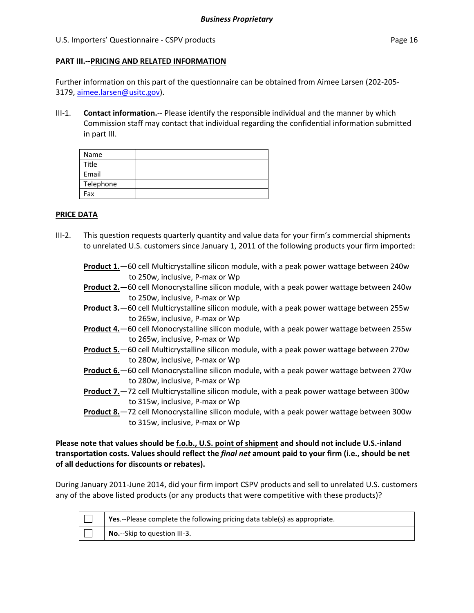### **PART III.‐‐PRICING AND RELATED INFORMATION**

Further information on this part of the questionnaire can be obtained from Aimee Larsen (202‐205‐ 3179, aimee.larsen@usitc.gov).

III-1. **Contact information.**-- Please identify the responsible individual and the manner by which Commission staff may contact that individual regarding the confidential information submitted in part III.

| Name      |  |
|-----------|--|
| Title     |  |
| Email     |  |
| Telephone |  |
| Fax       |  |

### **PRICE DATA**

- III-2. This question requests quarterly quantity and value data for your firm's commercial shipments to unrelated U.S. customers since January 1, 2011 of the following products your firm imported:
	- **Product 1.**—60 cell Multicrystalline silicon module, with a peak power wattage between 240w to 250w, inclusive, P‐max or Wp
	- **Product 2.**—60 cell Monocrystalline silicon module, with a peak power wattage between 240w to 250w, inclusive, P‐max or Wp
	- **Product 3.**—60 cell Multicrystalline silicon module, with a peak power wattage between 255w to 265w, inclusive, P‐max or Wp
	- **Product 4.**—60 cell Monocrystalline silicon module, with a peak power wattage between 255w to 265w, inclusive, P‐max or Wp
	- **Product 5.**—60 cell Multicrystalline silicon module, with a peak power wattage between 270w to 280w, inclusive, P‐max or Wp
	- **Product 6.**—60 cell Monocrystalline silicon module, with a peak power wattage between 270w to 280w, inclusive, P‐max or Wp
	- **Product 7.**—72 cell Multicrystalline silicon module, with a peak power wattage between 300w to 315w, inclusive, P‐max or Wp
	- **Product 8.**—72 cell Monocrystalline silicon module, with a peak power wattage between 300w to 315w, inclusive, P‐max or Wp

Please note that values should be f.o.b., U.S. point of shipment and should not include U.S.-inland **transportation costs. Values should reflect the** *final net* **amount paid to your firm (i.e., should be net of all deductions for discounts or rebates).** 

During January 2011‐June 2014, did your firm import CSPV products and sell to unrelated U.S. customers any of the above listed products (or any products that were competitive with these products)?

| Yes.--Please complete the following pricing data table(s) as appropriate. |
|---------------------------------------------------------------------------|
| No.--Skip to question III-3.                                              |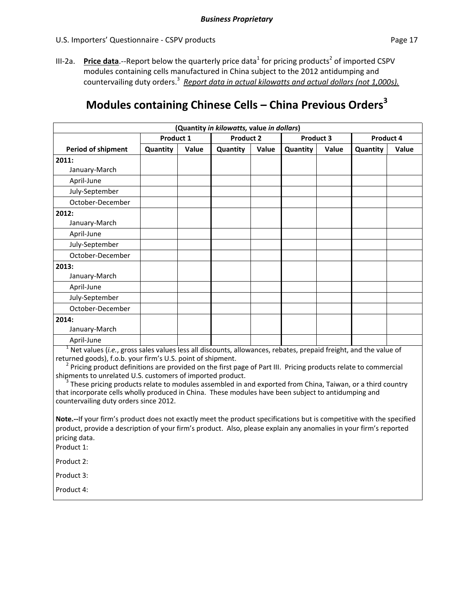III-2a. **Price data**.--Report below the quarterly price data<sup>1</sup> for pricing products<sup>2</sup> of imported CSPV modules containing cells manufactured in China subject to the 2012 antidumping and countervailing duty orders.3 *Report data in actual kilowatts and actual dollars (not 1,000s).*

### **Modules containing Chinese Cells – China Previous Orders<sup>3</sup>**

| (Quantity in kilowatts, value in dollars) |           |       |                  |       |           |       |           |       |  |  |
|-------------------------------------------|-----------|-------|------------------|-------|-----------|-------|-----------|-------|--|--|
|                                           | Product 1 |       | <b>Product 2</b> |       | Product 3 |       | Product 4 |       |  |  |
| <b>Period of shipment</b>                 | Quantity  | Value | Quantity         | Value | Quantity  | Value | Quantity  | Value |  |  |
| 2011:                                     |           |       |                  |       |           |       |           |       |  |  |
| January-March                             |           |       |                  |       |           |       |           |       |  |  |
| April-June                                |           |       |                  |       |           |       |           |       |  |  |
| July-September                            |           |       |                  |       |           |       |           |       |  |  |
| October-December                          |           |       |                  |       |           |       |           |       |  |  |
| 2012:                                     |           |       |                  |       |           |       |           |       |  |  |
| January-March                             |           |       |                  |       |           |       |           |       |  |  |
| April-June                                |           |       |                  |       |           |       |           |       |  |  |
| July-September                            |           |       |                  |       |           |       |           |       |  |  |
| October-December                          |           |       |                  |       |           |       |           |       |  |  |
| 2013:                                     |           |       |                  |       |           |       |           |       |  |  |
| January-March                             |           |       |                  |       |           |       |           |       |  |  |
| April-June                                |           |       |                  |       |           |       |           |       |  |  |
| July-September                            |           |       |                  |       |           |       |           |       |  |  |
| October-December                          |           |       |                  |       |           |       |           |       |  |  |
| 2014:                                     |           |       |                  |       |           |       |           |       |  |  |
| January-March                             |           |       |                  |       |           |       |           |       |  |  |
| April-June                                |           |       |                  |       |           |       |           |       |  |  |

<sup>1</sup> Net values (*i.e.*, gross sales values less all discounts, allowances, rebates, prepaid freight, and the value of returned goods), f.o.b. your firm's U.S. point of shipment.

<sup>2</sup> Pricing product definitions are provided on the first page of Part III. Pricing products relate to commercial shipments to unrelated U.S. customers of imported product.

These pricing products relate to modules assembled in and exported from China, Taiwan, or a third country that incorporate cells wholly produced in China. These modules have been subject to antidumping and countervailing duty orders since 2012.

**Note.‐‐**If your firm's product does not exactly meet the product specifications but is competitive with the specified product, provide a description of your firm's product. Also, please explain any anomalies in your firm's reported pricing data.

Product 1:

Product 2:

Product 3:

Product 4: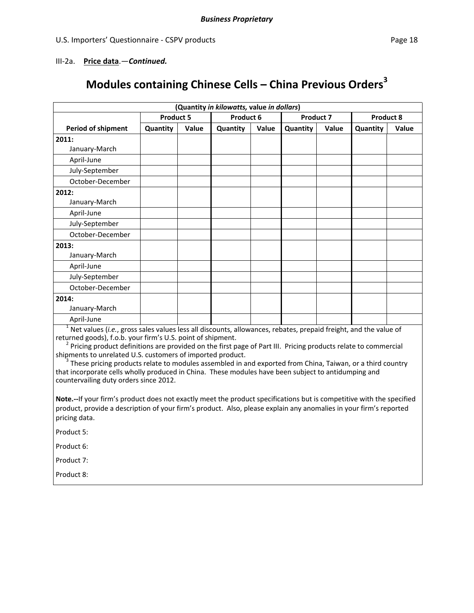### III‐2a. **Price data**.—*Continued.*

### **Modules containing Chinese Cells – China Previous Orders<sup>3</sup>**

| (Quantity in kilowatts, value in dollars) |                  |       |           |       |                  |       |           |       |  |  |
|-------------------------------------------|------------------|-------|-----------|-------|------------------|-------|-----------|-------|--|--|
|                                           | <b>Product 5</b> |       | Product 6 |       | <b>Product 7</b> |       | Product 8 |       |  |  |
| <b>Period of shipment</b>                 | Quantity         | Value | Quantity  | Value | Quantity         | Value | Quantity  | Value |  |  |
| 2011:                                     |                  |       |           |       |                  |       |           |       |  |  |
| January-March                             |                  |       |           |       |                  |       |           |       |  |  |
| April-June                                |                  |       |           |       |                  |       |           |       |  |  |
| July-September                            |                  |       |           |       |                  |       |           |       |  |  |
| October-December                          |                  |       |           |       |                  |       |           |       |  |  |
| 2012:                                     |                  |       |           |       |                  |       |           |       |  |  |
| January-March                             |                  |       |           |       |                  |       |           |       |  |  |
| April-June                                |                  |       |           |       |                  |       |           |       |  |  |
| July-September                            |                  |       |           |       |                  |       |           |       |  |  |
| October-December                          |                  |       |           |       |                  |       |           |       |  |  |
| 2013:                                     |                  |       |           |       |                  |       |           |       |  |  |
| January-March                             |                  |       |           |       |                  |       |           |       |  |  |
| April-June                                |                  |       |           |       |                  |       |           |       |  |  |
| July-September                            |                  |       |           |       |                  |       |           |       |  |  |
| October-December                          |                  |       |           |       |                  |       |           |       |  |  |
| 2014:                                     |                  |       |           |       |                  |       |           |       |  |  |
| January-March                             |                  |       |           |       |                  |       |           |       |  |  |
| April-June                                |                  |       |           |       |                  |       |           |       |  |  |

<sup>1</sup> Net values (*i.e.*, gross sales values less all discounts, allowances, rebates, prepaid freight, and the value of returned goods), f.o.b. your firm's U.S. point of shipment.

 $^2$  Pricing product definitions are provided on the first page of Part III. Pricing products relate to commercial shipments to unrelated U.S. customers of imported product.<br><sup>3</sup> These pricing products relate to modules assembled in and exported from China, Taiwan, or a third country

that incorporate cells wholly produced in China. These modules have been subject to antidumping and countervailing duty orders since 2012.

**Note.‐‐**If your firm's product does not exactly meet the product specifications but is competitive with the specified product, provide a description of your firm's product. Also, please explain any anomalies in your firm's reported pricing data.

Product 5:

Product 6:

Product 7:

Product 8: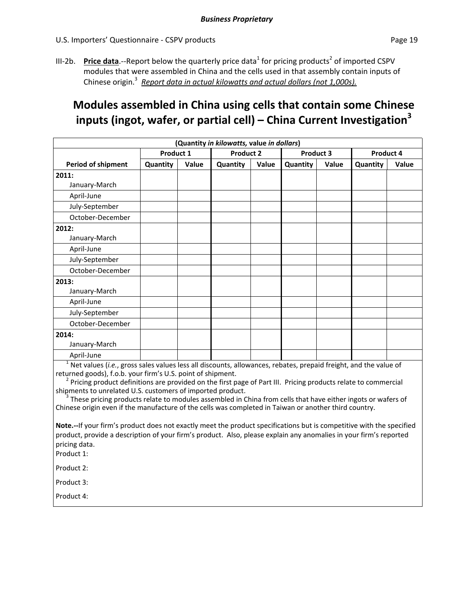III-2b. **Price data.**—Report below the quarterly price data<sup>1</sup> for pricing products<sup>2</sup> of imported CSPV modules that were assembled in China and the cells used in that assembly contain inputs of Chinese origin.<sup>3</sup> *Report data in actual kilowatts and actual dollars (not 1,000s).*

### **Modules assembled in China using cells that contain some Chinese inputs (ingot, wafer, or partial cell) – China Current Investigation3**

| (Quantity in kilowatts, value in dollars) |           |       |                                                                                                             |                  |                               |           |                                                                                  |           |  |  |
|-------------------------------------------|-----------|-------|-------------------------------------------------------------------------------------------------------------|------------------|-------------------------------|-----------|----------------------------------------------------------------------------------|-----------|--|--|
|                                           | Product 1 |       |                                                                                                             | <b>Product 2</b> |                               | Product 3 |                                                                                  | Product 4 |  |  |
| <b>Period of shipment</b>                 | Quantity  | Value | Quantity                                                                                                    | Value            | Quantity                      | Value     | Quantity                                                                         | Value     |  |  |
| 2011:                                     |           |       |                                                                                                             |                  |                               |           |                                                                                  |           |  |  |
| January-March                             |           |       |                                                                                                             |                  |                               |           |                                                                                  |           |  |  |
| April-June                                |           |       |                                                                                                             |                  |                               |           |                                                                                  |           |  |  |
| July-September                            |           |       |                                                                                                             |                  |                               |           |                                                                                  |           |  |  |
| October-December                          |           |       |                                                                                                             |                  |                               |           |                                                                                  |           |  |  |
| 2012:                                     |           |       |                                                                                                             |                  |                               |           |                                                                                  |           |  |  |
| January-March                             |           |       |                                                                                                             |                  |                               |           |                                                                                  |           |  |  |
| April-June                                |           |       |                                                                                                             |                  |                               |           |                                                                                  |           |  |  |
| July-September                            |           |       |                                                                                                             |                  |                               |           |                                                                                  |           |  |  |
| October-December                          |           |       |                                                                                                             |                  |                               |           |                                                                                  |           |  |  |
| 2013:                                     |           |       |                                                                                                             |                  |                               |           |                                                                                  |           |  |  |
| January-March                             |           |       |                                                                                                             |                  |                               |           |                                                                                  |           |  |  |
| April-June                                |           |       |                                                                                                             |                  |                               |           |                                                                                  |           |  |  |
| July-September                            |           |       |                                                                                                             |                  |                               |           |                                                                                  |           |  |  |
| October-December                          |           |       |                                                                                                             |                  |                               |           |                                                                                  |           |  |  |
| 2014:                                     |           |       |                                                                                                             |                  |                               |           |                                                                                  |           |  |  |
| January-March                             |           |       |                                                                                                             |                  |                               |           |                                                                                  |           |  |  |
| April-June                                |           |       |                                                                                                             |                  |                               |           |                                                                                  |           |  |  |
| $1 \ldots 1$                              |           |       | $\mathbf{r}$ , and $\mathbf{r}$ , and $\mathbf{r}$ , and $\mathbf{r}$ , and $\mathbf{r}$ , and $\mathbf{r}$ |                  | $\mathbf{r}$ and $\mathbf{r}$ |           | $\mathbf{r}$ and $\mathbf{r}$ and $\mathbf{r}$ and $\mathbf{r}$ and $\mathbf{r}$ |           |  |  |

Net values (*i.e.*, gross sales values less all discounts, allowances, rebates, prepaid freight, and the value of

returned goods), f.o.b. your firm's U.S. point of shipment.<br><sup>2</sup> Pricing product definitions are provided on the first page of Part III. Pricing products relate to commercial<br>shipments to unrelated U.S. customers of importe

These pricing products relate to modules assembled in China from cells that have either ingots or wafers of Chinese origin even if the manufacture of the cells was completed in Taiwan or another third country.

**Note.‐‐**If your firm's product does not exactly meet the product specifications but is competitive with the specified product, provide a description of your firm's product. Also, please explain any anomalies in your firm's reported pricing data.

Product 1:

Product 2:

Product 3:

Product 4: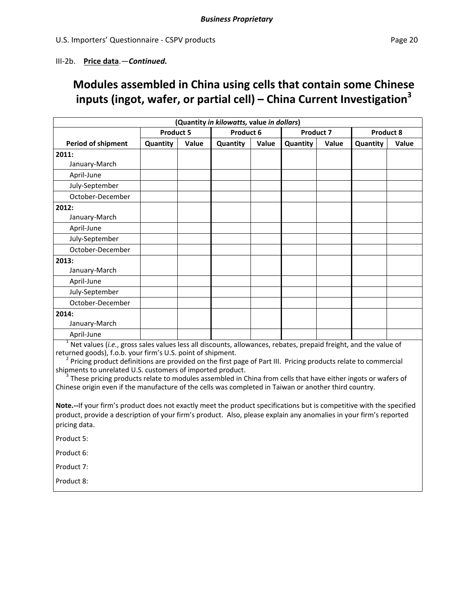### III‐2b. **Price data**.—*Continued.*

### **Modules assembled in China using cells that contain some Chinese inputs (ingot, wafer, or partial cell) – China Current Investigation3**

|                           | (Quantity in kilowatts, value in dollars) |       |          |           |          |                  |           |       |
|---------------------------|-------------------------------------------|-------|----------|-----------|----------|------------------|-----------|-------|
|                           | <b>Product 5</b>                          |       |          | Product 6 |          | <b>Product 7</b> | Product 8 |       |
| <b>Period of shipment</b> | Quantity                                  | Value | Quantity | Value     | Quantity | Value            | Quantity  | Value |
| 2011:                     |                                           |       |          |           |          |                  |           |       |
| January-March             |                                           |       |          |           |          |                  |           |       |
| April-June                |                                           |       |          |           |          |                  |           |       |
| July-September            |                                           |       |          |           |          |                  |           |       |
| October-December          |                                           |       |          |           |          |                  |           |       |
| 2012:                     |                                           |       |          |           |          |                  |           |       |
| January-March             |                                           |       |          |           |          |                  |           |       |
| April-June                |                                           |       |          |           |          |                  |           |       |
| July-September            |                                           |       |          |           |          |                  |           |       |
| October-December          |                                           |       |          |           |          |                  |           |       |
| 2013:                     |                                           |       |          |           |          |                  |           |       |
| January-March             |                                           |       |          |           |          |                  |           |       |
| April-June                |                                           |       |          |           |          |                  |           |       |
| July-September            |                                           |       |          |           |          |                  |           |       |
| October-December          |                                           |       |          |           |          |                  |           |       |
| 2014:                     |                                           |       |          |           |          |                  |           |       |
| January-March             |                                           |       |          |           |          |                  |           |       |
| April-June                |                                           |       |          |           |          |                  |           |       |

<sup>1</sup> Net values (*i.e.*, gross sales values less all discounts, allowances, rebates, prepaid freight, and the value of returned goods), f.o.b. your firm's U.S. point of shipment.

<sup>2</sup> Pricing product definitions are provided on the first page of Part III. Pricing products relate to commercial shipments to unrelated U.S. customers of imported product.

 $3$  These pricing products relate to modules assembled in China from cells that have either ingots or wafers of Chinese origin even if the manufacture of the cells was completed in Taiwan or another third country.

**Note.‐‐**If your firm's product does not exactly meet the product specifications but is competitive with the specified product, provide a description of your firm's product. Also, please explain any anomalies in your firm's reported pricing data.

Product 5:

Product 6:

Product 7:

Product 8: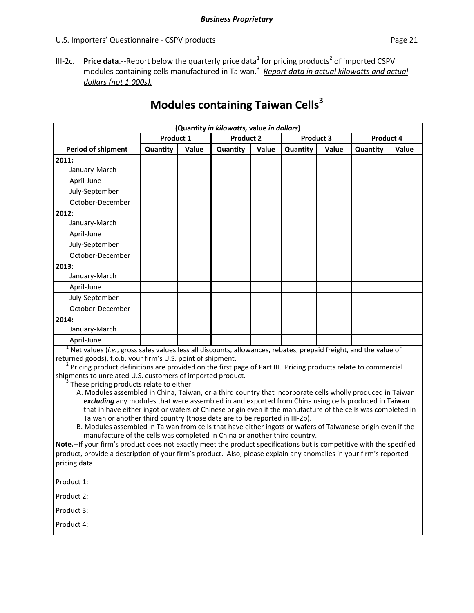- 
- III-2c. **Price data**.--Report below the quarterly price data<sup>1</sup> for pricing products<sup>2</sup> of imported CSPV modules containing cells manufactured in Taiwan.<sup>3</sup> *Report data in actual kilowatts and actual dollars (not 1,000s).*

| (Quantity in kilowatts, value in dollars) |           |       |                  |       |           |       |           |       |
|-------------------------------------------|-----------|-------|------------------|-------|-----------|-------|-----------|-------|
|                                           | Product 1 |       | <b>Product 2</b> |       | Product 3 |       | Product 4 |       |
| <b>Period of shipment</b>                 | Quantity  | Value | Quantity         | Value | Quantity  | Value | Quantity  | Value |
| 2011:                                     |           |       |                  |       |           |       |           |       |
| January-March                             |           |       |                  |       |           |       |           |       |
| April-June                                |           |       |                  |       |           |       |           |       |
| July-September                            |           |       |                  |       |           |       |           |       |
| October-December                          |           |       |                  |       |           |       |           |       |
| 2012:                                     |           |       |                  |       |           |       |           |       |
| January-March                             |           |       |                  |       |           |       |           |       |
| April-June                                |           |       |                  |       |           |       |           |       |
| July-September                            |           |       |                  |       |           |       |           |       |
| October-December                          |           |       |                  |       |           |       |           |       |
| 2013:                                     |           |       |                  |       |           |       |           |       |
| January-March                             |           |       |                  |       |           |       |           |       |
| April-June                                |           |       |                  |       |           |       |           |       |
| July-September                            |           |       |                  |       |           |       |           |       |
| October-December                          |           |       |                  |       |           |       |           |       |
| 2014:                                     |           |       |                  |       |           |       |           |       |
| January-March                             |           |       |                  |       |           |       |           |       |
| April-June                                |           |       |                  |       |           |       |           |       |

## **Modules containing Taiwan Cells<sup>3</sup>**

<sup>1</sup> Net values (*i.e.*, gross sales values less all discounts, allowances, rebates, prepaid freight, and the value of returned goods), f.o.b. your firm's U.S. point of shipment.

 $^2$  Pricing product definitions are provided on the first page of Part III. Pricing products relate to commercial shipments to unrelated U.S. customers of imported product.<br><sup>3</sup> These pricing products relate to either:

- A. Modules assembled in China, Taiwan, or a third country that incorporate cells wholly produced in Taiwan *excluding* any modules that were assembled in and exported from China using cells produced in Taiwan that in have either ingot or wafers of Chinese origin even if the manufacture of the cells was completed in Taiwan or another third country (those data are to be reported in III‐2b).
- B. Modules assembled in Taiwan from cells that have either ingots or wafers of Taiwanese origin even if the manufacture of the cells was completed in China or another third country.

**Note.‐‐**If your firm's product does not exactly meet the product specifications but is competitive with the specified product, provide a description of your firm's product. Also, please explain any anomalies in your firm's reported pricing data.

Product 1:

Product 2:

Product 3:

Product 4: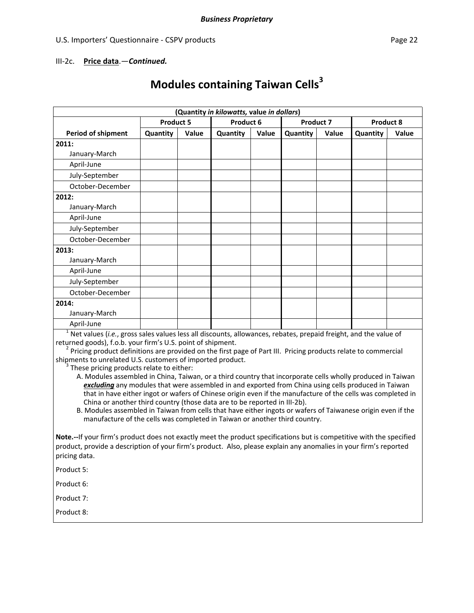### III‐2c. **Price data**.—*Continued.*

# **Modules containing Taiwan Cells<sup>3</sup>**

|                                                                                                                                                                                                                                                                                                                                                                                                                                                                                                                                                                                                                                                                                                                                                                                                                                                                                                                                                                                                                                                       |                  |       | (Quantity in kilowatts, value in dollars) |       |           |       |          |                  |
|-------------------------------------------------------------------------------------------------------------------------------------------------------------------------------------------------------------------------------------------------------------------------------------------------------------------------------------------------------------------------------------------------------------------------------------------------------------------------------------------------------------------------------------------------------------------------------------------------------------------------------------------------------------------------------------------------------------------------------------------------------------------------------------------------------------------------------------------------------------------------------------------------------------------------------------------------------------------------------------------------------------------------------------------------------|------------------|-------|-------------------------------------------|-------|-----------|-------|----------|------------------|
|                                                                                                                                                                                                                                                                                                                                                                                                                                                                                                                                                                                                                                                                                                                                                                                                                                                                                                                                                                                                                                                       | <b>Product 5</b> |       | Product 6                                 |       | Product 7 |       |          | <b>Product 8</b> |
| <b>Period of shipment</b>                                                                                                                                                                                                                                                                                                                                                                                                                                                                                                                                                                                                                                                                                                                                                                                                                                                                                                                                                                                                                             | Quantity         | Value | Quantity                                  | Value | Quantity  | Value | Quantity | Value            |
| 2011:                                                                                                                                                                                                                                                                                                                                                                                                                                                                                                                                                                                                                                                                                                                                                                                                                                                                                                                                                                                                                                                 |                  |       |                                           |       |           |       |          |                  |
| January-March                                                                                                                                                                                                                                                                                                                                                                                                                                                                                                                                                                                                                                                                                                                                                                                                                                                                                                                                                                                                                                         |                  |       |                                           |       |           |       |          |                  |
| April-June                                                                                                                                                                                                                                                                                                                                                                                                                                                                                                                                                                                                                                                                                                                                                                                                                                                                                                                                                                                                                                            |                  |       |                                           |       |           |       |          |                  |
| July-September                                                                                                                                                                                                                                                                                                                                                                                                                                                                                                                                                                                                                                                                                                                                                                                                                                                                                                                                                                                                                                        |                  |       |                                           |       |           |       |          |                  |
| October-December                                                                                                                                                                                                                                                                                                                                                                                                                                                                                                                                                                                                                                                                                                                                                                                                                                                                                                                                                                                                                                      |                  |       |                                           |       |           |       |          |                  |
| 2012:                                                                                                                                                                                                                                                                                                                                                                                                                                                                                                                                                                                                                                                                                                                                                                                                                                                                                                                                                                                                                                                 |                  |       |                                           |       |           |       |          |                  |
| January-March                                                                                                                                                                                                                                                                                                                                                                                                                                                                                                                                                                                                                                                                                                                                                                                                                                                                                                                                                                                                                                         |                  |       |                                           |       |           |       |          |                  |
| April-June                                                                                                                                                                                                                                                                                                                                                                                                                                                                                                                                                                                                                                                                                                                                                                                                                                                                                                                                                                                                                                            |                  |       |                                           |       |           |       |          |                  |
| July-September                                                                                                                                                                                                                                                                                                                                                                                                                                                                                                                                                                                                                                                                                                                                                                                                                                                                                                                                                                                                                                        |                  |       |                                           |       |           |       |          |                  |
| October-December                                                                                                                                                                                                                                                                                                                                                                                                                                                                                                                                                                                                                                                                                                                                                                                                                                                                                                                                                                                                                                      |                  |       |                                           |       |           |       |          |                  |
| 2013:                                                                                                                                                                                                                                                                                                                                                                                                                                                                                                                                                                                                                                                                                                                                                                                                                                                                                                                                                                                                                                                 |                  |       |                                           |       |           |       |          |                  |
| January-March                                                                                                                                                                                                                                                                                                                                                                                                                                                                                                                                                                                                                                                                                                                                                                                                                                                                                                                                                                                                                                         |                  |       |                                           |       |           |       |          |                  |
| April-June                                                                                                                                                                                                                                                                                                                                                                                                                                                                                                                                                                                                                                                                                                                                                                                                                                                                                                                                                                                                                                            |                  |       |                                           |       |           |       |          |                  |
| July-September                                                                                                                                                                                                                                                                                                                                                                                                                                                                                                                                                                                                                                                                                                                                                                                                                                                                                                                                                                                                                                        |                  |       |                                           |       |           |       |          |                  |
| October-December                                                                                                                                                                                                                                                                                                                                                                                                                                                                                                                                                                                                                                                                                                                                                                                                                                                                                                                                                                                                                                      |                  |       |                                           |       |           |       |          |                  |
| 2014:                                                                                                                                                                                                                                                                                                                                                                                                                                                                                                                                                                                                                                                                                                                                                                                                                                                                                                                                                                                                                                                 |                  |       |                                           |       |           |       |          |                  |
| January-March                                                                                                                                                                                                                                                                                                                                                                                                                                                                                                                                                                                                                                                                                                                                                                                                                                                                                                                                                                                                                                         |                  |       |                                           |       |           |       |          |                  |
| April-June                                                                                                                                                                                                                                                                                                                                                                                                                                                                                                                                                                                                                                                                                                                                                                                                                                                                                                                                                                                                                                            |                  |       |                                           |       |           |       |          |                  |
| $1$ Net values (i.e., gross sales values less all discounts, allowances, rebates, prepaid freight, and the value of<br>returned goods), f.o.b. your firm's U.S. point of shipment.<br><sup>2</sup> Pricing product definitions are provided on the first page of Part III. Pricing products relate to commercial<br>shipments to unrelated U.S. customers of imported product.<br><sup>3</sup> These pricing products relate to either:<br>A. Modules assembled in China, Taiwan, or a third country that incorporate cells wholly produced in Taiwan<br>excluding any modules that were assembled in and exported from China using cells produced in Taiwan<br>that in have either ingot or wafers of Chinese origin even if the manufacture of the cells was completed in<br>China or another third country (those data are to be reported in III-2b).<br>B. Modules assembled in Taiwan from cells that have either ingots or wafers of Taiwanese origin even if the<br>manufacture of the cells was completed in Taiwan or another third country. |                  |       |                                           |       |           |       |          |                  |
| Note .-- If your firm's product does not exactly meet the product specifications but is competitive with the specified<br>product, provide a description of your firm's product. Also, please explain any anomalies in your firm's reported<br>pricing data.                                                                                                                                                                                                                                                                                                                                                                                                                                                                                                                                                                                                                                                                                                                                                                                          |                  |       |                                           |       |           |       |          |                  |
| Product 5:                                                                                                                                                                                                                                                                                                                                                                                                                                                                                                                                                                                                                                                                                                                                                                                                                                                                                                                                                                                                                                            |                  |       |                                           |       |           |       |          |                  |
| Product 6:                                                                                                                                                                                                                                                                                                                                                                                                                                                                                                                                                                                                                                                                                                                                                                                                                                                                                                                                                                                                                                            |                  |       |                                           |       |           |       |          |                  |

Product 7:

Product 8: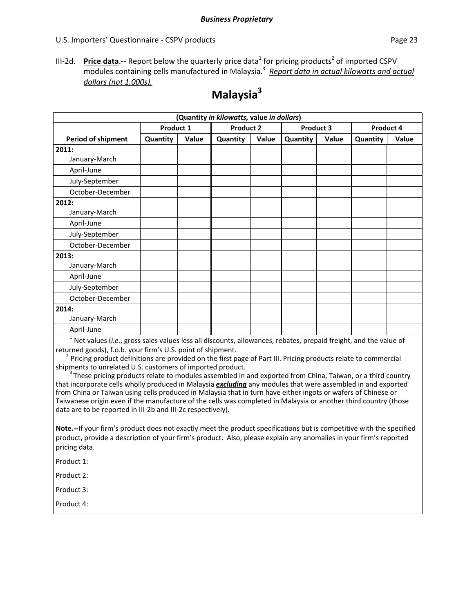III-2d. Price data.-- Report below the quarterly price data<sup>1</sup> for pricing products<sup>2</sup> of imported CSPV modules containing cells manufactured in Malaysia.<sup>3</sup> *Report data in actual kilowatts and actual dollars (not 1,000s).*

|                    |                  |       | (Quantity in kilowatts, value in dollars) |       |           |       |           |       |
|--------------------|------------------|-------|-------------------------------------------|-------|-----------|-------|-----------|-------|
|                    | <b>Product 1</b> |       | <b>Product 2</b>                          |       | Product 3 |       | Product 4 |       |
| Period of shipment | Quantity         | Value | Quantity                                  | Value | Quantity  | Value | Quantity  | Value |
| 2011:              |                  |       |                                           |       |           |       |           |       |
| January-March      |                  |       |                                           |       |           |       |           |       |
| April-June         |                  |       |                                           |       |           |       |           |       |
| July-September     |                  |       |                                           |       |           |       |           |       |
| October-December   |                  |       |                                           |       |           |       |           |       |
| 2012:              |                  |       |                                           |       |           |       |           |       |
| January-March      |                  |       |                                           |       |           |       |           |       |
| April-June         |                  |       |                                           |       |           |       |           |       |
| July-September     |                  |       |                                           |       |           |       |           |       |
| October-December   |                  |       |                                           |       |           |       |           |       |
| 2013:              |                  |       |                                           |       |           |       |           |       |
| January-March      |                  |       |                                           |       |           |       |           |       |
| April-June         |                  |       |                                           |       |           |       |           |       |
| July-September     |                  |       |                                           |       |           |       |           |       |
| October-December   |                  |       |                                           |       |           |       |           |       |
| 2014:              |                  |       |                                           |       |           |       |           |       |
| January-March      |                  |       |                                           |       |           |       |           |       |
| April-June         |                  |       |                                           |       |           |       |           |       |

### **Malaysia3**

<sup>1</sup> Net values (*i.e.*, gross sales values less all discounts, allowances, rebates, prepaid freight, and the value of returned goods), f.o.b. your firm's U.S. point of shipment.<br><sup>2</sup> Pricing product definitions are provided on the first page of Part III. Pricing products relate to commercial

shipments to unrelated U.S. customers of imported product.

 $3$ These pricing products relate to modules assembled in and exported from China, Taiwan, or a third country that incorporate cells wholly produced in Malaysia *excluding* any modules that were assembled in and exported from China or Taiwan using cells produced in Malaysia that in turn have either ingots or wafers of Chinese or Taiwanese origin even if the manufacture of the cells was completed in Malaysia or another third country (those data are to be reported in III‐2b and III‐2c respectively).

**Note.‐‐**If your firm's product does not exactly meet the product specifications but is competitive with the specified product, provide a description of your firm's product. Also, please explain any anomalies in your firm's reported pricing data.

Product 1:

Product 2:

Product 3:

Product 4: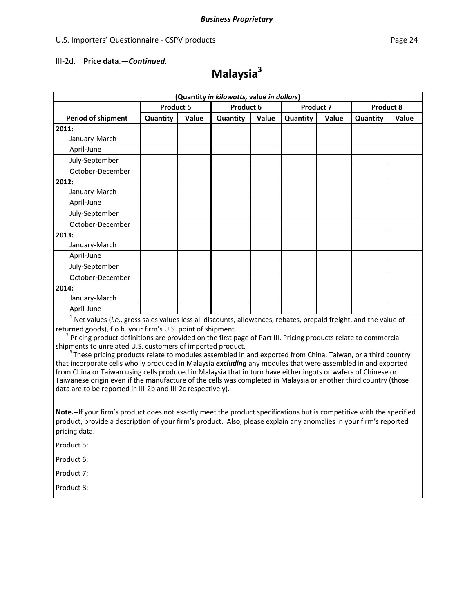#### III‐2d. **Price data**.—*Continued.*

## **Malaysia3**

|                           | (Quantity in kilowatts, value in dollars) |       |          |           |          |                  |           |       |
|---------------------------|-------------------------------------------|-------|----------|-----------|----------|------------------|-----------|-------|
|                           | <b>Product 5</b>                          |       |          | Product 6 |          | <b>Product 7</b> | Product 8 |       |
| <b>Period of shipment</b> | Quantity                                  | Value | Quantity | Value     | Quantity | Value            | Quantity  | Value |
| 2011:                     |                                           |       |          |           |          |                  |           |       |
| January-March             |                                           |       |          |           |          |                  |           |       |
| April-June                |                                           |       |          |           |          |                  |           |       |
| July-September            |                                           |       |          |           |          |                  |           |       |
| October-December          |                                           |       |          |           |          |                  |           |       |
| 2012:                     |                                           |       |          |           |          |                  |           |       |
| January-March             |                                           |       |          |           |          |                  |           |       |
| April-June                |                                           |       |          |           |          |                  |           |       |
| July-September            |                                           |       |          |           |          |                  |           |       |
| October-December          |                                           |       |          |           |          |                  |           |       |
| 2013:                     |                                           |       |          |           |          |                  |           |       |
| January-March             |                                           |       |          |           |          |                  |           |       |
| April-June                |                                           |       |          |           |          |                  |           |       |
| July-September            |                                           |       |          |           |          |                  |           |       |
| October-December          |                                           |       |          |           |          |                  |           |       |
| 2014:                     |                                           |       |          |           |          |                  |           |       |
| January-March             |                                           |       |          |           |          |                  |           |       |
| April-June                |                                           |       |          |           |          |                  |           |       |

<sup>1</sup> Net values (*i.e.*, gross sales values less all discounts, allowances, rebates, prepaid freight, and the value of returned goods), f.o.b. your firm's U.S. point of shipment.

 $2$  Pricing product definitions are provided on the first page of Part III. Pricing products relate to commercial shipments to unrelated U.S. customers of imported product.

 $3$ These pricing products relate to modules assembled in and exported from China, Taiwan, or a third country that incorporate cells wholly produced in Malaysia *excluding* any modules that were assembled in and exported from China or Taiwan using cells produced in Malaysia that in turn have either ingots or wafers of Chinese or Taiwanese origin even if the manufacture of the cells was completed in Malaysia or another third country (those data are to be reported in III‐2b and III‐2c respectively).

**Note.‐‐**If your firm's product does not exactly meet the product specifications but is competitive with the specified product, provide a description of your firm's product. Also, please explain any anomalies in your firm's reported pricing data.

Product 5:

Product 6:

Product 7:

Product 8: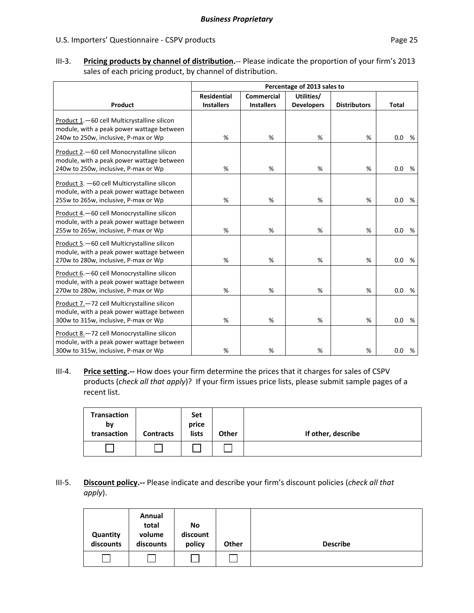III‐3. **Pricing products by channel of distribution.**‐‐ Please indicate the proportion of your firm's 2013 sales of each pricing product, by channel of distribution.

|                                                                                                                                   | Percentage of 2013 sales to |                   |                   |                     |              |   |
|-----------------------------------------------------------------------------------------------------------------------------------|-----------------------------|-------------------|-------------------|---------------------|--------------|---|
|                                                                                                                                   | <b>Residential</b>          | <b>Commercial</b> | Utilities/        |                     |              |   |
| Product                                                                                                                           | <b>Installers</b>           | <b>Installers</b> | <b>Developers</b> | <b>Distributors</b> | <b>Total</b> |   |
| Product 1.-60 cell Multicrystalline silicon<br>module, with a peak power wattage between                                          |                             |                   |                   |                     |              |   |
| 240w to 250w, inclusive, P-max or Wp                                                                                              | %                           | %                 | %                 | %                   | 0.0%         |   |
| Product 2.-60 cell Monocrystalline silicon<br>module, with a peak power wattage between<br>240w to 250w, inclusive, P-max or Wp   | %                           | %                 | %                 | %                   | 0.0%         |   |
| Product 3. - 60 cell Multicrystalline silicon<br>module, with a peak power wattage between                                        | %                           | %                 | %                 | %                   | 0.0          | % |
| 255w to 265w, inclusive, P-max or Wp                                                                                              |                             |                   |                   |                     |              |   |
| Product 4. - 60 cell Monocrystalline silicon<br>module, with a peak power wattage between<br>255w to 265w, inclusive, P-max or Wp | %                           | %                 | %                 | %                   | 0.0          | % |
| Product 5.-60 cell Multicrystalline silicon<br>module, with a peak power wattage between<br>270w to 280w, inclusive, P-max or Wp  | %                           | %                 | %                 | %                   | 0.0<br>%     |   |
| Product 6. - 60 cell Monocrystalline silicon<br>module, with a peak power wattage between<br>270w to 280w, inclusive, P-max or Wp | %                           | %                 | %                 | %                   | 0.0<br>%     |   |
| Product 7.-72 cell Multicrystalline silicon<br>module, with a peak power wattage between<br>300w to 315w, inclusive, P-max or Wp  | %                           | %                 | %                 | %                   | 0.0<br>%     |   |
| Product 8.-72 cell Monocrystalline silicon<br>module, with a peak power wattage between<br>300w to 315w, inclusive, P-max or Wp   | %                           | %                 | %                 | %                   | 0.0          | % |

III‐4. **Price setting.‐‐** How does your firm determine the prices that it charges for sales of CSPV products (*check all that apply*)? If your firm issues price lists, please submit sample pages of a recent list.

| <b>Transaction</b><br>bν<br>transaction | <b>Contracts</b> | <b>Set</b><br>price<br>lists | <b>Other</b> | If other, describe |
|-----------------------------------------|------------------|------------------------------|--------------|--------------------|
|                                         |                  |                              |              |                    |

### III‐5. **Discount policy.‐‐** Please indicate and describe your firm's discount policies (*check all that apply*).

| Quantity<br>discounts | Annual<br>total<br>volume<br>discounts | No<br>discount<br>policy | Other | <b>Describe</b> |
|-----------------------|----------------------------------------|--------------------------|-------|-----------------|
|                       |                                        |                          |       |                 |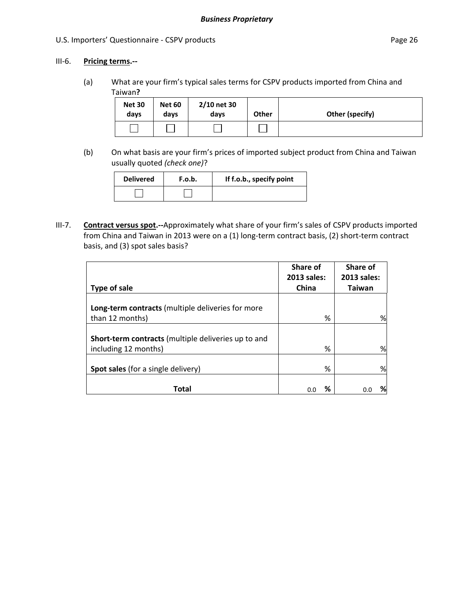### III‐6. **Pricing terms.‐‐**

(a) What are your firm's typical sales terms for CSPV products imported from China and Taiwan**?**

| <b>Net 30</b><br>days | <b>Net 60</b><br>days | 2/10 net 30<br>days | Other | Other (specify) |
|-----------------------|-----------------------|---------------------|-------|-----------------|
|                       |                       |                     |       |                 |

(b) On what basis are your firm's prices of imported subject product from China and Taiwan usually quoted *(check one)*?

| <b>Delivered</b> | F.o.b. | If f.o.b., specify point |
|------------------|--------|--------------------------|
|                  |        |                          |

III‐7. **Contract versus spot.‐‐**Approximately what share of your firm's sales of CSPV products imported from China and Taiwan in 2013 were on a (1) long-term contract basis, (2) short-term contract basis, and (3) spot sales basis?

|                                                                             | Share of<br>2013 sales: | Share of<br>2013 sales: |
|-----------------------------------------------------------------------------|-------------------------|-------------------------|
| Type of sale                                                                | China                   | Taiwan                  |
| Long-term contracts (multiple deliveries for more<br>than 12 months)        | ℅                       | %                       |
| Short-term contracts (multiple deliveries up to and<br>including 12 months) | ℅                       | %                       |
| Spot sales (for a single delivery)                                          | %                       | %                       |
| Total                                                                       | ℅<br>0.0                | %<br>0.0                |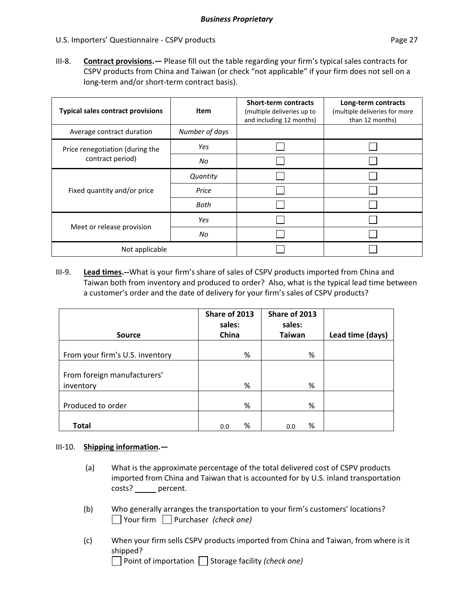III-8. **Contract provisions.**— Please fill out the table regarding your firm's typical sales contracts for CSPV products from China and Taiwan (or check "not applicable" if your firm does not sell on a long‐term and/or short‐term contract basis).

| <b>Typical sales contract provisions</b> | Item           | <b>Short-term contracts</b><br>(multiple deliveries up to<br>and including 12 months) | Long-term contracts<br>(multiple deliveries for more<br>than 12 months) |
|------------------------------------------|----------------|---------------------------------------------------------------------------------------|-------------------------------------------------------------------------|
| Average contract duration                | Number of days |                                                                                       |                                                                         |
| Price renegotiation (during the          | Yes            |                                                                                       |                                                                         |
| contract period)                         | No             |                                                                                       |                                                                         |
|                                          | Quantity       |                                                                                       |                                                                         |
| Fixed quantity and/or price              | Price          |                                                                                       |                                                                         |
|                                          | Both           |                                                                                       |                                                                         |
|                                          | Yes            |                                                                                       |                                                                         |
| Meet or release provision                | No             |                                                                                       |                                                                         |
| Not applicable                           |                |                                                                                       |                                                                         |

III‐9. **Lead times.‐‐**What is your firm's share of sales of CSPV products imported from China and Taiwan both from inventory and produced to order? Also, what is the typical lead time between a customer's order and the date of delivery for your firm's sales of CSPV products?

|                                          | Share of 2013<br>sales: | Share of 2013<br>sales: |                  |
|------------------------------------------|-------------------------|-------------------------|------------------|
| <b>Source</b>                            | China                   | <b>Taiwan</b>           | Lead time (days) |
| From your firm's U.S. inventory          | %                       | %                       |                  |
| From foreign manufacturers'<br>inventory | %                       | %                       |                  |
| Produced to order                        | %                       | %                       |                  |
| <b>Total</b>                             | %<br>0.0                | %<br>0.0                |                  |

### III‐10. **Shipping information.—**

- (a) What is the approximate percentage of the total delivered cost of CSPV products imported from China and Taiwan that is accounted for by U.S. inland transportation costs? \_\_\_\_\_\_ percent.
- (b) Who generally arranges the transportation to your firm's customers' locations? Your firm Purchaser *(check one)*
- (c) When your firm sells CSPV products imported from China and Taiwan, from where is it shipped?

Point of importation Storage facility *(check one)*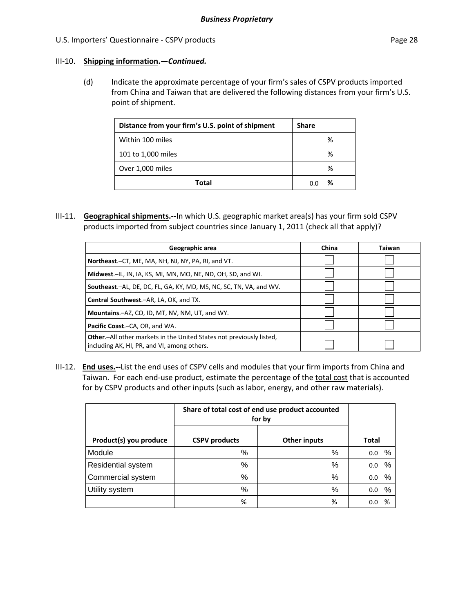### III‐10. **Shipping information.—***Continued.*

(d) Indicate the approximate percentage of your firm's sales of CSPV products imported from China and Taiwan that are delivered the following distances from your firm's U.S. point of shipment.

| Distance from your firm's U.S. point of shipment | <b>Share</b> |
|--------------------------------------------------|--------------|
| Within 100 miles                                 | %            |
| 101 to 1,000 miles                               | ℅            |
| Over 1,000 miles                                 | %            |
| Total                                            | %<br>n n     |

III‐11. **Geographical shipments.‐‐**In which U.S. geographic market area(s) has your firm sold CSPV products imported from subject countries since January 1, 2011 (check all that apply)?

| Geographic area                                                                                                             | China | Taiwan |
|-----------------------------------------------------------------------------------------------------------------------------|-------|--------|
| Northeast.-CT, ME, MA, NH, NJ, NY, PA, RI, and VT.                                                                          |       |        |
| Midwest.-IL, IN, IA, KS, MI, MN, MO, NE, ND, OH, SD, and WI.                                                                |       |        |
| Southeast.-AL, DE, DC, FL, GA, KY, MD, MS, NC, SC, TN, VA, and WV.                                                          |       |        |
| Central Southwest.-AR, LA, OK, and TX.                                                                                      |       |        |
| Mountains.-AZ, CO, ID, MT, NV, NM, UT, and WY.                                                                              |       |        |
| Pacific Coast.-CA, OR, and WA.                                                                                              |       |        |
| <b>Other.</b> —All other markets in the United States not previously listed,<br>including AK, HI, PR, and VI, among others. |       |        |

III‐12. **End uses.‐‐**List the end uses of CSPV cells and modules that your firm imports from China and Taiwan. For each end-use product, estimate the percentage of the total cost that is accounted for by CSPV products and other inputs (such as labor, energy, and other raw materials).

|                        | Share of total cost of end use product accounted<br>for by |                     |              |
|------------------------|------------------------------------------------------------|---------------------|--------------|
| Product(s) you produce | <b>CSPV</b> products                                       | <b>Other inputs</b> | <b>Total</b> |
| Module                 | $\%$                                                       | %                   | %<br>0.0     |
| Residential system     | %                                                          | %                   | $\%$<br>0.0  |
| Commercial system      | %                                                          | %                   | %<br>0.0     |
| Utility system         | %                                                          | %                   | %<br>0.0     |
|                        | %                                                          | %                   | %<br>0.0     |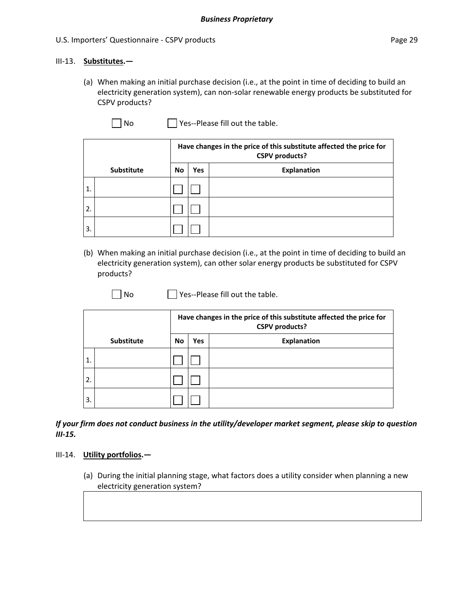### III‐13. **Substitutes.—**

(a) When making an initial purchase decision (i.e., at the point in time of deciding to build an electricity generation system), can non‐solar renewable energy products be substituted for CSPV products?

 $\Box$  No  $\Box$  Yes--Please fill out the table.

|              |                   |    | Have changes in the price of this substitute affected the price for<br><b>CSPV</b> products? |                    |  |  |  |
|--------------|-------------------|----|----------------------------------------------------------------------------------------------|--------------------|--|--|--|
|              | <b>Substitute</b> | No | <b>Yes</b>                                                                                   | <b>Explanation</b> |  |  |  |
| $\mathbf{1}$ |                   |    |                                                                                              |                    |  |  |  |
| 2.           |                   |    |                                                                                              |                    |  |  |  |
| 3.           |                   |    |                                                                                              |                    |  |  |  |

(b) When making an initial purchase decision (i.e., at the point in time of deciding to build an electricity generation system), can other solar energy products be substituted for CSPV products?

 $\Box$  No  $\Box$  Yes--Please fill out the table.

|                  |                   |           | Have changes in the price of this substitute affected the price for<br><b>CSPV</b> products? |             |  |  |  |
|------------------|-------------------|-----------|----------------------------------------------------------------------------------------------|-------------|--|--|--|
|                  | <b>Substitute</b> | <b>No</b> | Yes                                                                                          | Explanation |  |  |  |
| $\overline{1}$ . |                   |           |                                                                                              |             |  |  |  |
| 2.               |                   |           |                                                                                              |             |  |  |  |
| $\mathbf{3}$     |                   |           |                                                                                              |             |  |  |  |

*If your firm does not conduct business in the utility/developer market segment, please skip to question III‐15.*

#### III‐14. **Utility portfolios.—**

(a) During the initial planning stage, what factors does a utility consider when planning a new electricity generation system?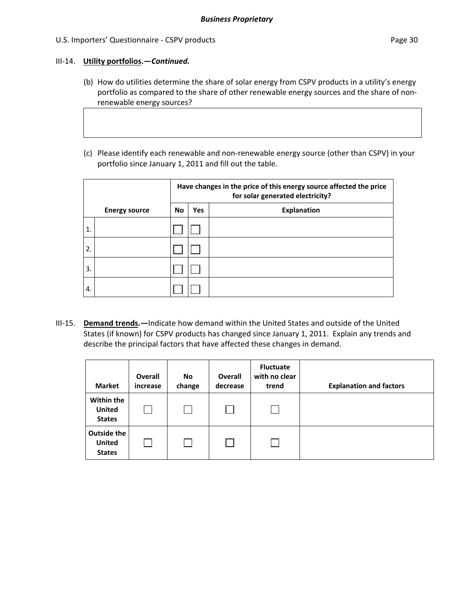### III‐14. **Utility portfolios.—***Continued.*

- (b) How do utilities determine the share of solar energy from CSPV products in a utility's energy portfolio as compared to the share of other renewable energy sources and the share of non‐ renewable energy sources?
- (c) Please identify each renewable and non‐renewable energy source (other than CSPV) in your portfolio since January 1, 2011 and fill out the table.

|    |                      | Have changes in the price of this energy source affected the price<br>for solar generated electricity? |            |                    |  |  |  |
|----|----------------------|--------------------------------------------------------------------------------------------------------|------------|--------------------|--|--|--|
|    | <b>Energy source</b> | No                                                                                                     | <b>Yes</b> | <b>Explanation</b> |  |  |  |
| 1. |                      |                                                                                                        |            |                    |  |  |  |
| 2. |                      |                                                                                                        |            |                    |  |  |  |
| 3. |                      |                                                                                                        |            |                    |  |  |  |
| 4. |                      |                                                                                                        |            |                    |  |  |  |

III‐15. **Demand trends.—**Indicate how demand within the United States and outside of the United States (if known) for CSPV products has changed since January 1, 2011. Explain any trends and describe the principal factors that have affected these changes in demand.

| <b>Market</b>                                 | <b>Overall</b><br>increase | No<br>change | Overall<br>decrease | <b>Fluctuate</b><br>with no clear<br>trend | <b>Explanation and factors</b> |
|-----------------------------------------------|----------------------------|--------------|---------------------|--------------------------------------------|--------------------------------|
| Within the<br><b>United</b><br><b>States</b>  |                            |              |                     |                                            |                                |
| Outside the<br><b>United</b><br><b>States</b> |                            |              |                     |                                            |                                |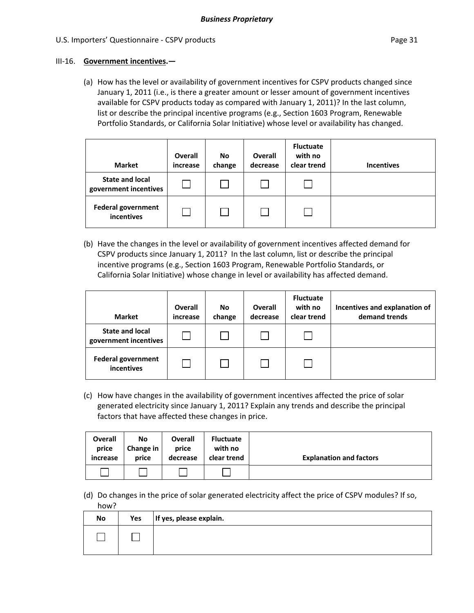#### III‐16. **Government incentives.—**

(a) How has the level or availability of government incentives for CSPV products changed since January 1, 2011 (i.e., is there a greater amount or lesser amount of government incentives available for CSPV products today as compared with January 1, 2011)? In the last column, list or describe the principal incentive programs (e.g., Section 1603 Program, Renewable Portfolio Standards, or California Solar Initiative) whose level or availability has changed.

| <b>Market</b>                                   | <b>Overall</b><br>increase | <b>No</b><br>change | Overall<br>decrease | <b>Fluctuate</b><br>with no<br>clear trend | <b>Incentives</b> |
|-------------------------------------------------|----------------------------|---------------------|---------------------|--------------------------------------------|-------------------|
| <b>State and local</b><br>government incentives |                            |                     |                     |                                            |                   |
| <b>Federal government</b><br>incentives         |                            |                     |                     |                                            |                   |

(b) Have the changes in the level or availability of government incentives affected demand for CSPV products since January 1, 2011? In the last column, list or describe the principal incentive programs (e.g., Section 1603 Program, Renewable Portfolio Standards, or California Solar Initiative) whose change in level or availability has affected demand.

| <b>Market</b>                                   | Overall<br>increase | <b>No</b><br>change | Overall<br>decrease | <b>Fluctuate</b><br>with no<br>clear trend | Incentives and explanation of<br>demand trends |
|-------------------------------------------------|---------------------|---------------------|---------------------|--------------------------------------------|------------------------------------------------|
| <b>State and local</b><br>government incentives |                     |                     |                     |                                            |                                                |
| <b>Federal government</b><br>incentives         |                     |                     |                     |                                            |                                                |

(c) How have changes in the availability of government incentives affected the price of solar generated electricity since January 1, 2011? Explain any trends and describe the principal factors that have affected these changes in price.

| <b>Overall</b> | No        | <b>Overall</b> | <b>Fluctuate</b> | <b>Explanation and factors</b> |
|----------------|-----------|----------------|------------------|--------------------------------|
| price          | Change in | price          | with no          |                                |
| increase       | price     | decrease       | clear trend      |                                |
|                |           |                |                  |                                |

(d) Do changes in the price of solar generated electricity affect the price of CSPV modules? If so, how?

| No | Yes | If yes, please explain. |
|----|-----|-------------------------|
|    |     |                         |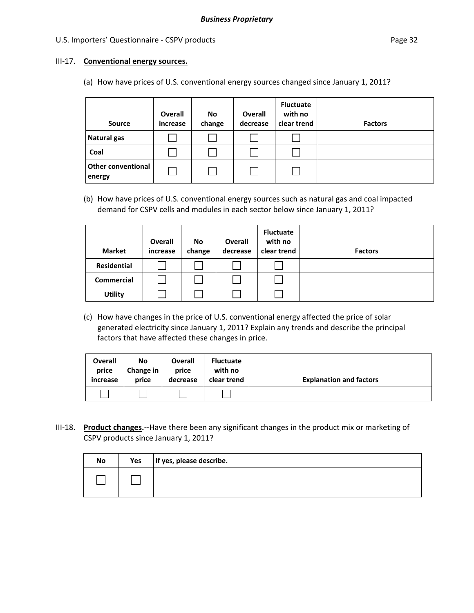#### III‐17. **Conventional energy sources.**

(a) How have prices of U.S. conventional energy sources changed since January 1, 2011?

| <b>Source</b>                       | <b>Overall</b><br>increase | No<br>change | <b>Overall</b><br>decrease | <b>Fluctuate</b><br>with no<br>clear trend | <b>Factors</b> |
|-------------------------------------|----------------------------|--------------|----------------------------|--------------------------------------------|----------------|
| Natural gas                         |                            |              |                            |                                            |                |
| Coal                                |                            |              |                            |                                            |                |
| <b>Other conventional</b><br>energy |                            |              |                            |                                            |                |

(b) How have prices of U.S. conventional energy sources such as natural gas and coal impacted demand for CSPV cells and modules in each sector below since January 1, 2011?

| <b>Market</b>      | Overall<br>increase | <b>No</b><br>change | Overall<br>decrease | <b>Fluctuate</b><br>with no<br>clear trend | <b>Factors</b> |
|--------------------|---------------------|---------------------|---------------------|--------------------------------------------|----------------|
| <b>Residential</b> |                     |                     |                     |                                            |                |
| <b>Commercial</b>  |                     |                     |                     |                                            |                |
| <b>Utility</b>     |                     |                     |                     |                                            |                |

(c) How have changes in the price of U.S. conventional energy affected the price of solar generated electricity since January 1, 2011? Explain any trends and describe the principal factors that have affected these changes in price.

| Overall  | No        | <b>Overall</b> | <b>Fluctuate</b> | <b>Explanation and factors</b> |
|----------|-----------|----------------|------------------|--------------------------------|
| price    | Change in | price          | with no          |                                |
| increase | price     | decrease       | clear trend      |                                |
|          |           |                |                  |                                |

III‐18. **Product changes.‐‐**Have there been any significant changes in the product mix or marketing of CSPV products since January 1, 2011?

| No | Yes | If yes, please describe. |
|----|-----|--------------------------|
|    |     |                          |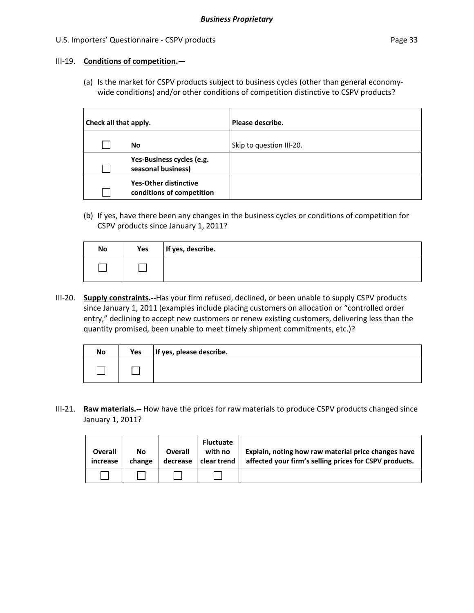### III‐19. **Conditions of competition.—**

(a) Is the market for CSPV products subject to business cycles (other than general economy‐ wide conditions) and/or other conditions of competition distinctive to CSPV products?

| Check all that apply. |                                                           | Please describe.         |
|-----------------------|-----------------------------------------------------------|--------------------------|
|                       | No                                                        | Skip to question III-20. |
|                       | Yes-Business cycles (e.g.<br>seasonal business)           |                          |
|                       | <b>Yes-Other distinctive</b><br>conditions of competition |                          |

(b) If yes, have there been any changes in the business cycles or conditions of competition for CSPV products since January 1, 2011?

| No | Yes | If yes, describe. |
|----|-----|-------------------|
|    |     |                   |

III‐20. **Supply constraints.‐‐**Has your firm refused, declined, or been unable to supply CSPV products since January 1, 2011 (examples include placing customers on allocation or "controlled order entry," declining to accept new customers or renew existing customers, delivering less than the quantity promised, been unable to meet timely shipment commitments, etc.)?

| No | Yes | If yes, please describe. |
|----|-----|--------------------------|
|    |     |                          |

III‐21. **Raw materials.‐‐** How have the prices for raw materials to produce CSPV products changed since January 1, 2011?

| Overall<br>increase | No<br>change | <b>Overall</b><br>decrease | <b>Fluctuate</b><br>with no<br>clear trend | Explain, noting how raw material price changes have<br>affected your firm's selling prices for CSPV products. |
|---------------------|--------------|----------------------------|--------------------------------------------|---------------------------------------------------------------------------------------------------------------|
|                     |              |                            |                                            |                                                                                                               |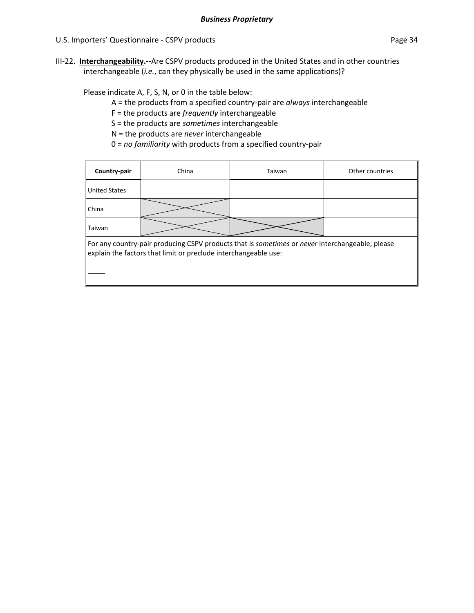III‐22. **Interchangeability.‐‐**Are CSPV products produced in the United States and in other countries interchangeable (*i.e.*, can they physically be used in the same applications)?

### Please indicate A, F, S, N, or 0 in the table below:

- A = the products from a specified country‐pair are *always* interchangeable
- F = the products are *frequently* interchangeable
- S = the products are *sometimes* interchangeable
- N = the products are *never* interchangeable
- 0 = *no familiarity* with products from a specified country‐pair

| Country-pair                                                                                                                                                       | China | Taiwan | Other countries |  |  |  |
|--------------------------------------------------------------------------------------------------------------------------------------------------------------------|-------|--------|-----------------|--|--|--|
| <b>United States</b>                                                                                                                                               |       |        |                 |  |  |  |
| China                                                                                                                                                              |       |        |                 |  |  |  |
| Taiwan                                                                                                                                                             |       |        |                 |  |  |  |
| For any country-pair producing CSPV products that is sometimes or never interchangeable, please<br>explain the factors that limit or preclude interchangeable use: |       |        |                 |  |  |  |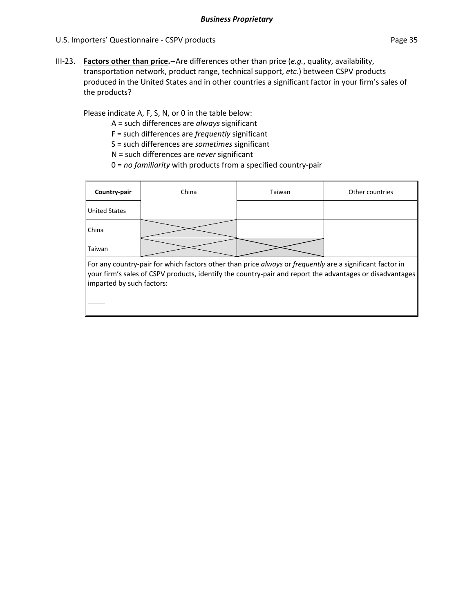III‐23. **Factors other than price.‐‐**Are differences other than price (*e.g.*, quality, availability, transportation network, product range, technical support, *etc.*) between CSPV products produced in the United States and in other countries a significant factor in your firm's sales of the products?

Please indicate A, F, S, N, or 0 in the table below:

A = such differences are *always* significant

F = such differences are *frequently* significant

S = such differences are *sometimes* significant

N = such differences are *never* significant

0 = *no familiarity* with products from a specified country‐pair

| Country-pair                                                                                             | China | Taiwan | Other countries |  |  |
|----------------------------------------------------------------------------------------------------------|-------|--------|-----------------|--|--|
| <b>United States</b>                                                                                     |       |        |                 |  |  |
| China                                                                                                    |       |        |                 |  |  |
| Taiwan                                                                                                   |       |        |                 |  |  |
| For any country-pair for which factors other than price always or frequently are a significant factor in |       |        |                 |  |  |

your firm's sales of CSPV products, identify the country‐pair and report the advantages or disadvantages imparted by such factors: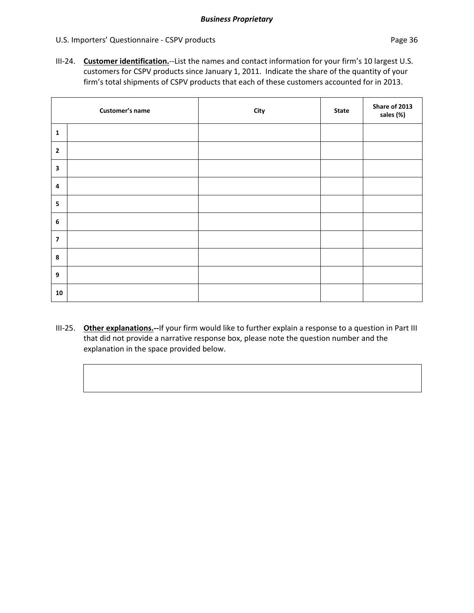III‐24. **Customer identification.**‐‐List the names and contact information for your firm's 10 largest U.S. customers for CSPV products since January 1, 2011. Indicate the share of the quantity of your firm's total shipments of CSPV products that each of these customers accounted for in 2013.

|                         | Customer's name | City | <b>State</b> | Share of 2013<br>sales (%) |
|-------------------------|-----------------|------|--------------|----------------------------|
| $\mathbf 1$             |                 |      |              |                            |
| $\mathbf 2$             |                 |      |              |                            |
| $\overline{\mathbf{3}}$ |                 |      |              |                            |
| $\pmb{4}$               |                 |      |              |                            |
| 5                       |                 |      |              |                            |
| $\boldsymbol{6}$        |                 |      |              |                            |
| $\overline{\mathbf{z}}$ |                 |      |              |                            |
| 8                       |                 |      |              |                            |
| $\boldsymbol{9}$        |                 |      |              |                            |
| 10                      |                 |      |              |                            |

III‐25. **Other explanations.‐‐**If your firm would like to further explain a response to a question in Part III that did not provide a narrative response box, please note the question number and the explanation in the space provided below.